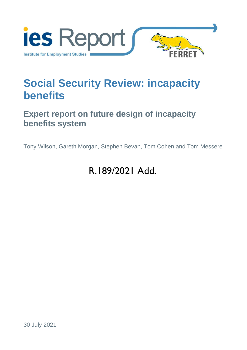

# **Social Security Review: incapacity benefits**

## **Expert report on future design of incapacity benefits system**

Tony Wilson, Gareth Morgan, Stephen Bevan, Tom Cohen and Tom Messere

# R.189/2021 Add.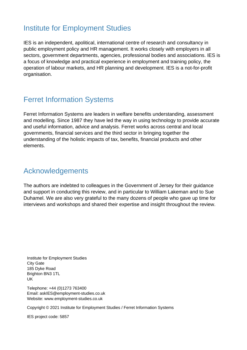## Institute for Employment Studies

IES is an independent, apolitical, international centre of research and consultancy in public employment policy and HR management. It works closely with employers in all sectors, government departments, agencies, professional bodies and associations. IES is a focus of knowledge and practical experience in employment and training policy, the operation of labour markets, and HR planning and development. IES is a not-for-profit organisation.

## Ferret Information Systems

Ferret Information Systems are leaders in welfare benefits understanding, assessment and modelling. Since 1987 they have led the way in using technology to provide accurate and useful information, advice and analysis. Ferret works across central and local governments, financial services and the third sector in bringing together the understanding of the holistic impacts of tax, benefits, financial products and other elements.

## Acknowledgements

The authors are indebted to colleagues in the Government of Jersey for their guidance and support in conducting this review, and in particular to William Lakeman and to Sue Duhamel. We are also very grateful to the many dozens of people who gave up time for interviews and workshops and shared their expertise and insight throughout the review.

Institute for Employment Studies City Gate 185 Dyke Road Brighton BN3 1TL UK

Telephone: +44 (0)1273 763400 Email: askIES@employment-studies.co.uk Website: www.employment-studies.co.uk

Copyright © 2021 Institute for Employment Studies / Ferret Information Systems

IES project code: 5857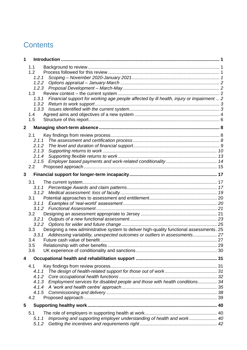## **Contents**

| 1              |                                                                                                                                                                                                                                                                                  |  |
|----------------|----------------------------------------------------------------------------------------------------------------------------------------------------------------------------------------------------------------------------------------------------------------------------------|--|
|                | 1.1<br>1.2<br>1.2.1<br>1.2.2<br>1.3<br>Financial support for working age people affected by ill health, injury or impairment  2<br>1.3.1<br>1.3.2<br>1.3.3<br>1.4<br>1.5                                                                                                         |  |
| $\overline{2}$ |                                                                                                                                                                                                                                                                                  |  |
|                | 2.1<br>2.1.1<br>2.1.2<br>2.1.3<br>2.1.4<br>2.1.5<br>$2.2\overline{ }$                                                                                                                                                                                                            |  |
| 3              |                                                                                                                                                                                                                                                                                  |  |
|                | 3.1<br>3.1.1<br>3.1<br>3.1.1<br>3.2<br>3.2.1<br>3.2.2<br>Designing a new administrative system to deliver high-quality functional assessments. 25<br>3.3 <sub>2</sub><br>Addressing variability, unexpected outcomes or outliers in assessments 27<br>3.3.1<br>3.4<br>3.5<br>3.6 |  |
| 4              |                                                                                                                                                                                                                                                                                  |  |
|                | 4.1<br>4.1.1<br>4.1.2<br>Employment services for disabled people and those with health conditions 34<br>4.1.3<br>4.1.4<br>4.2                                                                                                                                                    |  |
| 5              |                                                                                                                                                                                                                                                                                  |  |
|                | 5.1<br>Improving and supporting employer understanding of health and work 40<br>5.1.1<br>5.1.2                                                                                                                                                                                   |  |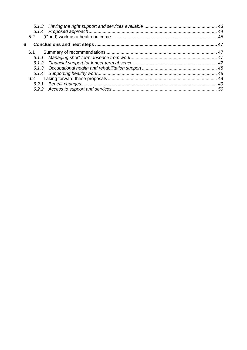|   | 5.2 |  |
|---|-----|--|
| 6 |     |  |
|   |     |  |
|   |     |  |
|   |     |  |
|   |     |  |
|   |     |  |
|   |     |  |
|   |     |  |
|   |     |  |
|   |     |  |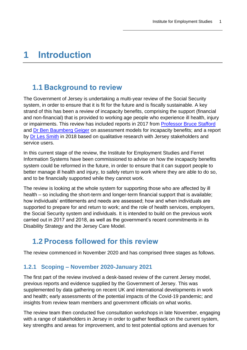# <span id="page-4-0"></span>**1 Introduction**

### <span id="page-4-1"></span>**1.1 Background to review**

The Government of Jersey is undertaking a multi-year review of the Social Security system, in order to ensure that it is fit for the future and is fiscally sustainable. A key strand of this has been a review of incapacity benefits, comprising the support (financial and non-financial) that is provided to working age people who experience ill health, injury or impairments. This review has included reports in 2017 from [Professor Bruce Stafford](https://statesassembly.gov.je/assemblyreports/2018/r.50-2018.pdf) and [Dr Ben Baumberg Geiger](https://statesassembly.gov.je/assemblyreports/2018/r.48-2018.pdf) on assessment models for incapacity benefits; and a report by [Dr Les Smith](https://statesassembly.gov.je/assemblyreports/2018/r.49-2018.pdf) in 2018 based on qualitative research with Jersey stakeholders and service users.

In this current stage of the review, the Institute for Employment Studies and Ferret Information Systems have been commissioned to advise on how the incapacity benefits system could be reformed in the future, in order to ensure that it can support people to better manage ill health and injury, to safely return to work where they are able to do so, and to be financially supported while they cannot work.

The review is looking at the whole system for supporting those who are affected by ill health – so including the short-term and longer-term financial support that is available; how individuals' entitlements and needs are assessed; how and when individuals are supported to prepare for and return to work; and the role of health services, employers, the Social Security system and individuals. It is intended to build on the previous work carried out in 2017 and 2018, as well as the government's recent commitments in its Disability Strategy and the Jersey Care Model.

### <span id="page-4-2"></span>**1.2 Process followed for this review**

The review commenced in November 2020 and has comprised three stages as follows.

#### <span id="page-4-3"></span>**1.2.1 Scoping – November 2020-January 2021**

The first part of the review involved a desk-based review of the current Jersey model, previous reports and evidence supplied by the Government of Jersey. This was supplemented by data gathering on recent UK and international developments in work and health; early assessments of the potential impacts of the Covid-19 pandemic; and insights from review team members and government officials on what works.

The review team then conducted five consultation workshops in late November, engaging with a range of stakeholders in Jersey in order to gather feedback on the current system, key strengths and areas for improvement, and to test potential options and avenues for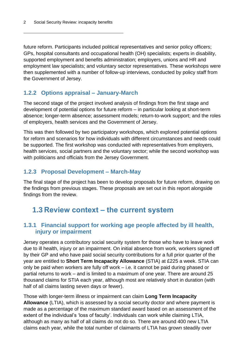future reform. Participants included political representatives and senior policy officers; GPs, hospital consultants and occupational health (OH) specialists; experts in disability, supported employment and benefits administration; employers, unions and HR and employment law specialists; and voluntary sector representatives. These workshops were then supplemented with a number of follow-up interviews, conducted by policy staff from the Government of Jersey.

### <span id="page-5-0"></span>**1.2.2 Options appraisal – January-March**

The second stage of the project involved analysis of findings from the first stage and development of potential options for future reform – in particular looking at short-term absence; longer-term absence; assessment models; return-to-work support; and the roles of employers, health services and the Government of Jersey.

This was then followed by two participatory workshops, which explored potential options for reform and scenarios for how individuals with different circumstances and needs could be supported. The first workshop was conducted with representatives from employers, health services, social partners and the voluntary sector; while the second workshop was with politicians and officials from the Jersey Government.

### <span id="page-5-1"></span>**1.2.3 Proposal Development – March-May**

The final stage of the project has been to develop proposals for future reform, drawing on the findings from previous stages. These proposals are set out in this report alongside findings from the review.

### <span id="page-5-2"></span>**1.3 Review context – the current system**

#### <span id="page-5-3"></span>**1.3.1 Financial support for working age people affected by ill health, injury or impairment**

Jersey operates a contributory social security system for those who have to leave work due to ill health, injury or an impairment. On initial absence from work, workers signed off by their GP and who have paid social security contributions for a full prior quarter of the year are entitled to **Short Term Incapacity Allowance** (STIA) at £225 a week. STIA can only be paid when workers are fully off work – i.e. it cannot be paid during phased or partial returns to work – and is limited to a maximum of one year. There are around 25 thousand claims for STIA each year, although most are relatively short in duration (with half of all claims lasting seven days or fewer).

Those with longer-term illness or impairment can claim **Long Term Incapacity Allowance** (LTIA), which is assessed by a social security doctor and where payment is made as a percentage of the maximum standard award based on an assessment of the extent of the individual's 'loss of faculty'. Individuals can work while claiming LTIA, although as many as half of all claims do not do so. There are around 400 new LTIA claims each year, while the total number of claimants of LTIA has grown steadily over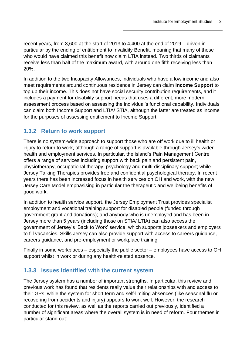recent years, from 3,600 at the start of 2013 to 4,400 at the end of 2019 – driven in particular by the ending of entitlement to Invalidity Benefit, meaning that many of those who would have claimed this benefit now claim LTIA instead. Two thirds of claimants receive less than half of the maximum award, with around one fifth receiving less than 20%.

In addition to the two Incapacity Allowances, individuals who have a low income and also meet requirements around continuous residence in Jersey can claim **Income Support** to top up their income. This does not have social security contribution requirements, and it includes a payment for disability support needs that uses a different, more modern assessment process based on assessing the individual's functional capability. Individuals can claim both Income Support and LTIA/ STIA, although the latter are treated as income for the purposes of assessing entitlement to Income Support.

#### <span id="page-6-0"></span>**1.3.2 Return to work support**

There is no system-wide approach to support those who are off work due to ill health or injury to return to work, although a range of support is available through Jersey's wider health and employment services. In particular, the island's Pain Management Centre offers a range of services including support with back pain and persistent pain, physiotherapy, occupational therapy, psychology and multi-disciplinary support; while Jersey Talking Therapies provides free and confidential psychological therapy. In recent years there has been increased focus in health services on OH and work, with the new Jersey Care Model emphasising in particular the therapeutic and wellbeing benefits of good work.

In addition to health service support, the Jersey Employment Trust provides specialist employment and vocational training support for disabled people (funded through government grant and donations); and anybody who is unemployed and has been in Jersey more than 5 years (including those on STIA/ LTIA) can also access the government of Jersey's 'Back to Work' service, which supports jobseekers and employers to fill vacancies. Skills Jersey can also provide support with access to careers guidance, careers guidance, and pre-employment or workplace training.

Finally in some workplaces – especially the public sector – employees have access to OH support whilst in work or during any health-related absence.

#### <span id="page-6-1"></span>**1.3.3 Issues identified with the current system**

The Jersey system has a number of important strengths. In particular, this review and previous work has found that residents really value their relationships with and access to their GPs, while the system for short term and self-limiting absences (like seasonal flu or recovering from accidents and injury) appears to work well. However, the research conducted for this review, as well as the reports carried out previously, identified a number of significant areas where the overall system is in need of reform. Four themes in particular stand out: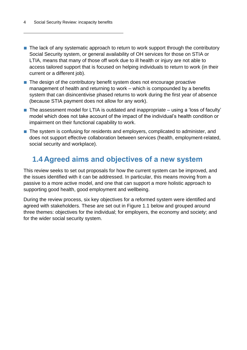- The lack of any systematic approach to return to work support through the contributory Social Security system, or general availability of OH services for those on STIA or LTIA, means that many of those off work due to ill health or injury are not able to access tailored support that is focused on helping individuals to return to work (in their current or a different job).
- The design of the contributory benefit system does not encourage proactive management of health and returning to work – which is compounded by a benefits system that can disincentivise phased returns to work during the first year of absence (because STIA payment does not allow for any work).
- The assessment model for LTIA is outdated and inappropriate using a 'loss of faculty' model which does not take account of the impact of the individual's health condition or impairment on their functional capability to work.
- The system is confusing for residents and employers, complicated to administer, and does not support effective collaboration between services (health, employment-related, social security and workplace).

### <span id="page-7-0"></span>**1.4 Agreed aims and objectives of a new system**

This review seeks to set out proposals for how the current system can be improved, and the issues identified with it can be addressed. In particular, this means moving from a passive to a more active model, and one that can support a more holistic approach to supporting good health, good employment and wellbeing.

During the review process, six key objectives for a reformed system were identified and agreed with stakeholders. These are set out in [Figure 1.1](#page-8-0) below and grouped around three themes: objectives for the individual; for employers, the economy and society; and for the wider social security system.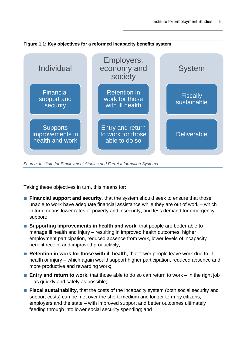<span id="page-8-0"></span>



*Source: Institute for Employment Studies and Ferret Information Systems*

Taking these objectives in turn, this means for:

- **Financial support and security**, that the system should seek to ensure that those unable to work have adequate financial assistance while they are out of work – which in turn means lower rates of poverty and insecurity, and less demand for emergency support;
- **Supporting improvements in health and work**, that people are better able to manage ill health and injury – resulting in improved health outcomes, higher employment participation, reduced absence from work, lower levels of incapacity benefit receipt and improved productivity;
- **Retention in work for those with ill health**, that fewer people leave work due to ill health or injury – which again would support higher participation, reduced absence and more productive and rewarding work;
- **Entry and return to work**, that those able to do so can return to work in the right job – as quickly and safely as possible;
- **Fiscal sustainability**, that the costs of the incapacity system (both social security and support costs) can be met over the short, medium and longer term by citizens, employers and the state – with improved support and better outcomes ultimately feeding through into lower social security spending; and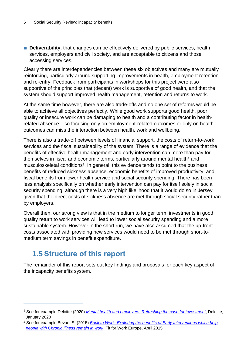■ **Deliverability**, that changes can be effectively delivered by public services, health services, employers and civil society, and are acceptable to citizens and those accessing services.

Clearly there are interdependencies between these six objectives and many are mutually reinforcing, particularly around supporting improvements in health, employment retention and re-entry. Feedback from participants in workshops for this project were also supportive of the principles that (decent) work is supportive of good health, and that the system should support improved health management, retention and returns to work.

At the same time however, there are also trade-offs and no one set of reforms would be able to achieve all objectives perfectly. While good work supports good health, poor quality or insecure work can be damaging to health and a contributing factor in healthrelated absence – so focusing only on employment-related outcomes or only on health outcomes can miss the interaction between health, work and wellbeing.

There is also a trade-off between levels of financial support, the costs of return-to-work services and the fiscal sustainability of the system. There is a range of evidence that the benefits of effective health management and early intervention can more than pay for themselves in fiscal and economic terms, particularly around mental health<sup>1</sup> and musculoskeletal conditions<sup>2</sup>. In general, this evidence tends to point to the business benefits of reduced sickness absence, economic benefits of improved productivity, and fiscal benefits from lower health service and social security spending. There has been less analysis specifically on whether early intervention can pay for itself solely in social security spending, although there is a very high likelihood that it would do so in Jersey given that the direct costs of sickness absence are met through social security rather than by employers.

Overall then, our strong view is that in the medium to longer term, investments in good quality return to work services will lead to lower social security spending and a more sustainable system. However in the short run, we have also assumed that the up-front costs associated with providing new services would need to be met through short-tomedium term savings in benefit expenditure.

### <span id="page-9-0"></span>**1.5 Structure of this report**

The remainder of this report sets out key findings and proposals for each key aspect of the incapacity benefits system.

<sup>1</sup> See for example Deloitte (2020) *[Mental health and employers: Refreshing the case for investment](https://www2.deloitte.com/content/dam/Deloitte/uk/Documents/consultancy/deloitte-uk-mental-health-and-employers.pdf)*, Deloitte, January 2020

<sup>2</sup> See for example Bevan, S. (2015) *[Back to Work: Exploring the benefits of Early Interventions which help](https://static1.squarespace.com/static/5b3b875dcef372fc7822d05f/t/5b4ae808f950b741b8af1086/1531635721671/F152_Economics-of-Early-Intervention-FINAL.pdf)  [people with Chronic Illness remain in work](https://static1.squarespace.com/static/5b3b875dcef372fc7822d05f/t/5b4ae808f950b741b8af1086/1531635721671/F152_Economics-of-Early-Intervention-FINAL.pdf)*, Fit for Work Europe, April 2015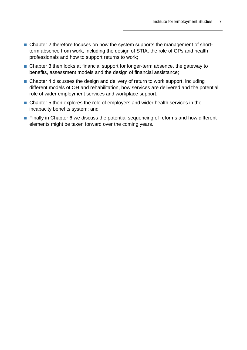- Chapter 2 therefore focuses on how the system supports the management of shortterm absence from work, including the design of STIA, the role of GPs and health professionals and how to support returns to work;
- Chapter 3 then looks at financial support for longer-term absence, the gateway to benefits, assessment models and the design of financial assistance;
- Chapter 4 discusses the design and delivery of return to work support, including different models of OH and rehabilitation, how services are delivered and the potential role of wider employment services and workplace support;
- Chapter 5 then explores the role of employers and wider health services in the incapacity benefits system; and
- Finally in Chapter 6 we discuss the potential sequencing of reforms and how different elements might be taken forward over the coming years.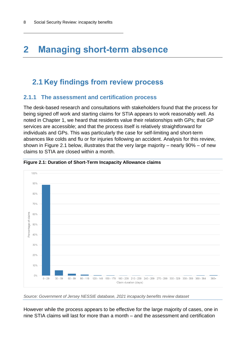# <span id="page-11-0"></span>**2 Managing short-term absence**

### <span id="page-11-1"></span>**2.1 Key findings from review process**

#### <span id="page-11-2"></span>**2.1.1 The assessment and certification process**

The desk-based research and consultations with stakeholders found that the process for being signed off work and starting claims for STIA appears to work reasonably well. As noted in Chapter 1, we heard that residents value their relationships with GPs; that GP services are accessible; and that the process itself is relatively straightforward for individuals and GPs. This was particularly the case for self-limiting and short-term absences like colds and flu or for injuries following an accident. Analysis for this review, shown in [Figure 2.1](#page-11-3) below, illustrates that the very large majority – nearly 90% – of new claims to STIA are closed within a month.



<span id="page-11-3"></span>**Figure 2.1: Duration of Short-Term Incapacity Allowance claims**

However while the process appears to be effective for the large majority of cases, one in nine STIA claims will last for more than a month – and the assessment and certification

*Source: Government of Jersey NESSIE database, 2021 incapacity benefits review dataset*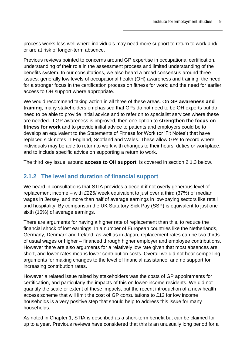process works less well where individuals may need more support to return to work and/ or are at risk of longer-term absence.

Previous reviews pointed to concerns around GP expertise in occupational certification, understanding of their role in the assessment process and limited understanding of the benefits system. In our consultations, we also heard a broad consensus around three issues: generally low levels of occupational health (OH) awareness and training; the need for a stronger focus in the certification process on fitness for work; and the need for earlier access to OH support where appropriate.

We would recommend taking action in all three of these areas. On **GP awareness and training**, many stakeholders emphasised that GPs do not need to be OH experts but do need to be able to provide initial advice and to refer on to specialist services where these are needed. If GP awareness is improved, then one option to **strengthen the focus on fitness for work** and to provide initial advice to patients and employers could be to develop an equivalent to the Statements of Fitness for Work (or 'Fit Notes') that have replaced sick notes in England, Scotland and Wales. These allow GPs to record where individuals may be able to return to work with changes to their hours, duties or workplace, and to include specific advice on supporting a return to work.

The third key issue, around **access to OH support**, is covered in section 2.1.3 below.

#### <span id="page-12-0"></span>**2.1.2 The level and duration of financial support**

We heard in consultations that STIA provides a decent if not overly generous level of replacement income – with £225/ week equivalent to just over a third (37%) of median wages in Jersey, and more than half of average earnings in low-paying sectors like retail and hospitality. By comparison the UK Statutory Sick Pay (SSP) is equivalent to just one sixth (16%) of average earnings.

There are arguments for having a higher rate of replacement than this, to reduce the financial shock of lost earnings. In a number of European countries like the Netherlands, Germany, Denmark and Ireland, as well as in Japan, replacement rates can be two thirds of usual wages or higher – financed through higher employer and employee contributions. However there are also arguments for a relatively low rate given that most absences are short, and lower rates means lower contribution costs. Overall we did not hear compelling arguments for making changes to the level of financial assistance, and no support for increasing contribution rates.

However a related issue raised by stakeholders was the costs of GP appointments for certification, and particularly the impacts of this on lower-income residents. We did not quantify the scale or extent of these impacts, but the recent introduction of a new health access scheme that will limit the cost of GP consultations to £12 for low income households is a very positive step that should help to address this issue for many households.

As noted in Chapter 1, STIA is described as a short-term benefit but can be claimed for up to a year. Previous reviews have considered that this is an unusually long period for a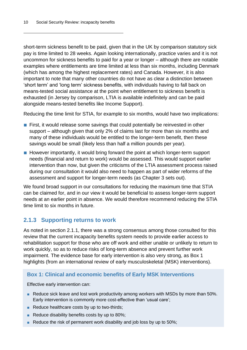short-term sickness benefit to be paid, given that in the UK by comparison statutory sick pay is time limited to 28 weeks. Again looking internationally, practice varies and it is not uncommon for sickness benefits to paid for a year or longer – although there are notable examples where entitlements are time limited at less than six months, including Denmark (which has among the highest replacement rates) and Canada. However, it is also important to note that many other countries do not have as clear a distinction between 'short term' and 'long term' sickness benefits, with individuals having to fall back on means-tested social assistance at the point when entitlement to sickness benefit is exhausted (in Jersey by comparison, LTIA is available indefinitely and can be paid alongside means-tested benefits like Income Support).

Reducing the time limit for STIA, for example to six months, would have two implications:

- First, it would release some savings that could potentially be reinvested in other support – although given that only 2% of claims last for more than six months and many of these individuals would be entitled to the longer-term benefit, then these savings would be small (likely less than half a million pounds per year).
- However importantly, it would bring forward the point at which longer-term support needs (financial and return to work) would be assessed. This would support earlier intervention than now, but given the criticisms of the LTIA assessment process raised during our consultation it would also need to happen as part of wider reforms of the assessment and support for longer-term needs (as Chapter 3 sets out).

We found broad support in our consultations for reducing the maximum time that STIA can be claimed for, and in our view it would be beneficial to assess longer-term support needs at an earlier point in absence. We would therefore recommend reducing the STIA time limit to six months in future.

### <span id="page-13-0"></span>**2.1.3 Supporting returns to work**

As noted in section 2.1.1, there was a strong consensus among those consulted for this review that the current incapacity benefits system needs to provide earlier access to rehabilitation support for those who are off work and either unable or unlikely to return to work quickly, so as to reduce risks of long-term absence and prevent further work impairment. The evidence base for early intervention is also very strong, as Box 1 highlights (from an international review of early musculoskeletal (MSK) interventions).

#### **Box 1: Clinical and economic benefits of Early MSK Interventions**

Effective early intervention can:

- Reduce sick leave and lost work productivity among workers with MSDs by more than 50%. Early intervention is commonly more cost-effective than 'usual care';
- Reduce healthcare costs by up to two-thirds;
- Reduce disability benefits costs by up to 80%;
- Reduce the risk of permanent work disability and job loss by up to 50%;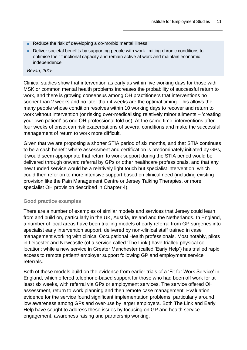- Reduce the risk of developing a co-morbid mental illness
- Deliver societal benefits by supporting people with work-limiting chronic conditions to optimise their functional capacity and remain active at work and maintain economic independence

*Bevan, 2015*

Clinical studies show that intervention as early as within five working days for those with MSK or common mental health problems increases the probability of successful return to work, and there is growing consensus among OH practitioners that interventions no sooner than 2 weeks and no later than 4 weeks are the optimal timing. This allows the many people whose condition resolves within 10 working days to recover and return to work without intervention (or risking over-medicalising relatively minor ailments – 'creating your own patient' as one OH professional told us). At the same time, interventions after four weeks of onset can risk exacerbations of several conditions and make the successful management of return to work more difficult.

Given that we are proposing a shorter STIA period of six months, and that STIA continues to be a cash benefit where assessment and certification is predominately initiated by GPs, it would seem appropriate that return to work support during the STIA period would be delivered through onward referral by GPs or other healthcare professionals, and that any new funded service would be a relatively light touch but specialist intervention, which could then refer on to more intensive support based on clinical need (including existing provision like the Pain Management Centre or Jersey Talking Therapies, or more specialist OH provision described in Chapter 4).

#### **Good practice examples**

There are a number of examples of similar models and services that Jersey could learn from and build on, particularly in the UK, Austria, Ireland and the Netherlands. In England, a number of local areas have been trialling models of early referral from GP surgeries into specialist early intervention support, delivered by non-clinical staff trained in case management working with clinical Occupational Health professionals. Most notably, pilots in Leicester and Newcastle (of a service called 'The Link') have trialled physical colocation; while a new service in Greater Manchester (called 'Early Help') has trialled rapid access to remote patient/ employer support following GP and employment service referrals.

Both of these models build on the evidence from earlier trials of a 'Fit for Work Service' in England, which offered telephone-based support for those who had been off work for at least six weeks, with referral via GPs or employment services. The service offered OH assessment, return to work planning and then remote case management. Evaluation evidence for the service found significant implementation problems, particularly around low awareness among GPs and over-use by larger employers. Both The Link and Early Help have sought to address these issues by focusing on GP and health service engagement, awareness raising and partnership working.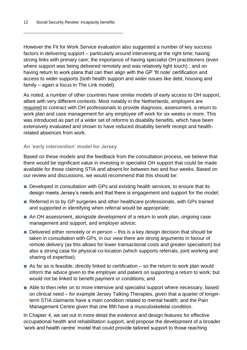However the Fit for Work Service evaluation also suggested a number of key success factors in delivering support – particularly around intervening at the right time; having strong links with primary care; the importance of having specialist OH practitioners (even where support was being delivered remotely and was relatively light touch) ; and on having return to work plans that can then align with the GP 'fit note' certification and access to wider supports (both health support and wider issues like debt, housing and family – again a focus in The Link model).

As noted, a number of other countries have similar models of early access to OH support, albeit with very different contexts. Most notably in the Netherlands, employers are required to contract with OH professionals to provide diagnosis, assessment, a return to work plan and case management for any employee off work for six weeks or more. This was introduced as part of a wider set of reforms to disability benefits, which have been extensively evaluated and shown to have reduced disability benefit receipt and healthrelated absences from work.

#### **An 'early intervention' model for Jersey**

Based on these models and the feedback from the consultation process, we believe that there would be significant value in investing in specialist OH support that could be made available for those claiming STIA and absent for between two and four weeks. Based on our review and discussions, we would recommend that this should be:

- Developed in consultation with GPs and existing health services, to ensure that its design meets Jersey's needs and that there is engagement and support for the model;
- Referred in to by GP surgeries and other healthcare professionals, with GPs trained and supported in identifying when referral would be appropriate;
- An OH assessment, alongside development of a return to work plan, ongoing case management and support, and employer advice;
- Delivered either remotely or in person this is a key design decision that should be taken in consultation with GPs, in our view there are strong arguments in favour of remote delivery (as this allows for lower transactional costs and greater specialism) but also a strong case for physical co-location (which supports referrals, joint working and sharing of expertise);
- $\blacksquare$  As far as is feasible, directly linked to certification so the return to work plan would inform the advice given to the employer and patient on supporting a return to work; but would not be linked to benefit payment or conditions; and
- Able to then refer on to more intensive and specialist support where necessary, based on clinical need – for example Jersey Talking Therapies, given that a quarter of longerterm STIA claimants have a main condition related to mental health; and the Pain Management Centre given that one fifth have a musculoskeletal condition.

In Chapter 4, we set out in more detail the evidence and design features for effective occupational health and rehabilitation support, and propose the development of a broader 'work and health centre' model that could provide tailored support to those reaching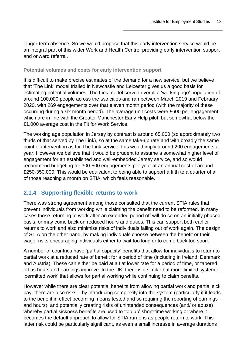longer-term absence. So we would propose that this early intervention service would be an integral part of this wider Work and Health Centre, providing early intervention support and onward referral.

#### **Potential volumes and costs for early intervention support**

It is difficult to make precise estimates of the demand for a new service, but we believe that 'The Link' model trialled in Newcastle and Leicester gives us a good basis for estimating potential volumes. The Link model served overall a 'working age' population of around 100,000 people across the two cities and ran between March 2019 and February 2020, with 269 engagements over that eleven month period (with the majority of these occurring during a six month period). The average unit costs were £600 per engagement, which are in line with the Greater Manchester Early Help pilot, but somewhat below the £1,000 average cost in the Fit for Work Service.

The working age population in Jersey by contrast is around 65,000 (so approximately two thirds of that served by The Link), so at the same take-up rate and with broadly the same point of intervention as for The Link service, this would imply around 200 engagements a year. However we believe that it would be prudent to assume a somewhat higher level of engagement for an established and well-embedded Jersey service, and so would recommend budgeting for 300-500 engagements per year at an annual cost of around £250-350,000. This would be equivalent to being able to support a fifth to a quarter of all of those reaching a month on STIA, which feels reasonable.

### <span id="page-16-0"></span>**2.1.4 Supporting flexible returns to work**

There was strong agreement among those consulted that the current STIA rules that prevent individuals from working while claiming the benefit need to be reformed. In many cases those returning to work after an extended period off will do so on an initially phased basis, or may come back on reduced hours and duties. This can support both earlier returns to work and also minimise risks of individuals falling out of work again. The design of STIA on the other hand, by making individuals choose between the benefit or their wage, risks encouraging individuals either to wait too long or to come back too soon.

A number of countries have 'partial capacity' benefits that allow for individuals to return to partial work at a reduced rate of benefit for a period of time (including in Ireland, Denmark and Austria). These can either be paid at a flat lower rate for a period of time, or tapered off as hours and earnings improve. In the UK, there is a similar but more limited system of 'permitted work' that allows for partial working while continuing to claim benefits.

However while there are clear potential benefits from allowing partial work and partial sick pay, there are also risks – by introducing complexity into the system (particularly if it leads to the benefit in effect becoming means tested and so requiring the reporting of earnings and hours); and potentially creating risks of unintended consequences (and/ or abuse) whereby partial sickness benefits are used to 'top up' short-time working or where it becomes the default approach to allow for STIA run-ons as people return to work. This latter risk could be particularly significant, as even a small increase in average durations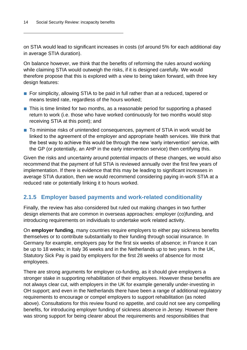on STIA would lead to significant increases in costs (of around 5% for each additional day in average STIA duration).

On balance however, we think that the benefits of reforming the rules around working while claiming STIA would outweigh the risks, if it is designed carefully. We would therefore propose that this is explored with a view to being taken forward, with three key design features:

- For simplicity, allowing STIA to be paid in full rather than at a reduced, tapered or means tested rate, regardless of the hours worked;
- This is time limited for two months, as a reasonable period for supporting a phased return to work (i.e. those who have worked continuously for two months would stop receiving STIA at this point); and
- To minimise risks of unintended consequences, payment of STIA in work would be linked to the agreement of the employer and appropriate health services. We think that the best way to achieve this would be through the new 'early intervention' service, with the GP (or potentially, an AHP in the early intervention service) then certifying this.

Given the risks and uncertainty around potential impacts of these changes, we would also recommend that the payment of full STIA is reviewed annually over the first few years of implementation. If there is evidence that this may be leading to significant increases in average STIA duration, then we would recommend considering paying in-work STIA at a reduced rate or potentially linking it to hours worked.

#### <span id="page-17-0"></span>**2.1.5 Employer based payments and work-related conditionality**

Finally, the review has also considered but ruled out making changes in two further design elements that are common in overseas approaches: employer (co)funding, and introducing requirements on individuals to undertake work related activity.

On **employer funding**, many countries require employers to either pay sickness benefits themselves or to contribute substantially to their funding through social insurance. In Germany for example, employers pay for the first six weeks of absence; in France it can be up to 18 weeks; in Italy 36 weeks and in the Netherlands up to two years. In the UK, Statutory Sick Pay is paid by employers for the first 28 weeks of absence for most employees.

There are strong arguments for employer co-funding, as it should give employers a stronger stake in supporting rehabilitation of their employees. However these benefits are not always clear cut, with employers in the UK for example generally under-investing in OH support; and even in the Netherlands there have been a range of additional regulatory requirements to encourage or compel employers to support rehabilitation (as noted above). Consultations for this review found no appetite, and could not see any compelling benefits, for introducing employer funding of sickness absence in Jersey. However there was strong support for being clearer about the requirements and responsibilities that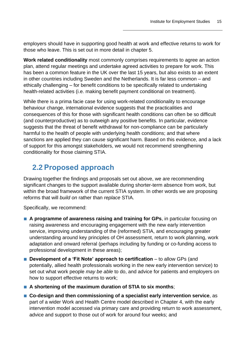employers should have in supporting good health at work and effective returns to work for those who leave. This is set out in more detail in chapter 5.

**Work related conditionality** most commonly comprises requirements to agree an action plan, attend regular meetings and undertake agreed activities to prepare for work. This has been a common feature in the UK over the last 15 years, but also exists to an extent in other countries including Sweden and the Netherlands. It is far less common – and ethically challenging – for benefit conditions to be specifically related to undertaking health-related activities (i.e. making benefit payment conditional on treatment).

While there is a prima facie case for using work-related conditionality to encourage behaviour change, international evidence suggests that the practicalities and consequences of this for those with significant health conditions can often be so difficult (and counterproductive) as to outweigh any positive benefits. In particular, evidence suggests that the threat of benefit withdrawal for non-compliance can be particularly harmful to the health of people with underlying health conditions; and that where sanctions are applied they can cause significant harm. Based on this evidence, and a lack of support for this amongst stakeholders, we would not recommend strengthening conditionality for those claiming STIA.

### <span id="page-18-0"></span>**2.2 Proposed approach**

Drawing together the findings and proposals set out above, we are recommending significant changes to the support available during shorter-term absence from work, but within the broad framework of the current STIA system. In other words we are proposing reforms that will *build on* rather than *replace* STIA.

Specifically, we recommend:

- **A programme of awareness raising and training for GPs**, in particular focusing on raising awareness and encouraging engagement with the new early intervention service, improving understanding of the (reformed) STIA, and encouraging greater understanding around key principles of OH assessment, return to work planning, work adaptation and onward referral (perhaps including by funding or co-funding access to professional development in these areas);
- **Development of a 'Fit Note' approach to certification** to allow GPs (and potentially, allied health professionals working in the new early intervention service) to set out what work people *may be able* to do, and advice for patients and employers on how to support effective returns to work;
- **A** shortening of the maximum duration of STIA to six months;
- Co-design and then commissioning of a specialist early intervention service, as part of a wider Work and Health Centre model described in Chapter 4, with the early intervention model accessed via primary care and providing return to work assessment, advice and support to those out of work for around four weeks; and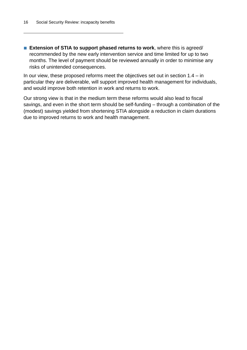■ **Extension of STIA to support phased returns to work**, where this is agreed/ recommended by the new early intervention service and time limited for up to two months. The level of payment should be reviewed annually in order to minimise any risks of unintended consequences.

In our view, these proposed reforms meet the objectives set out in section 1.4 – in particular they are deliverable, will support improved health management for individuals, and would improve both retention in work and returns to work.

Our strong view is that in the medium term these reforms would also lead to fiscal savings, and even in the short term should be self-funding – through a combination of the (modest) savings yielded from shortening STIA alongside a reduction in claim durations due to improved returns to work and health management.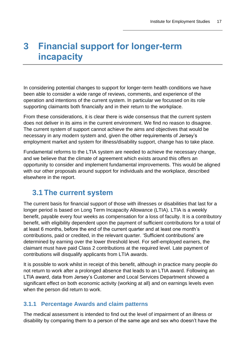# <span id="page-20-0"></span>**3 Financial support for longer-term incapacity**

In considering potential changes to support for longer-term health conditions we have been able to consider a wide range of reviews, comments, and experience of the operation and intentions of the current system. In particular we focussed on its role supporting claimants both financially and in their return to the workplace.

From these considerations, it is clear there is wide consensus that the current system does not deliver in its aims in the current environment. We find no reason to disagree. The current system of support cannot achieve the aims and objectives that would be necessary in any modern system and, given the other requirements of Jersey's employment market and system for illness/disability support, change has to take place.

Fundamental reforms to the LTIA system are needed to achieve the necessary change, and we believe that the climate of agreement which exists around this offers an opportunity to consider and implement fundamental improvements. This would be aligned with our other proposals around support for individuals and the workplace, described elsewhere in the report.

### <span id="page-20-1"></span>**3.1 The current system**

The current basis for financial support of those with illnesses or disabilities that last for a longer period is based on Long Term Incapacity Allowance (LTIA). LTIA is a weekly benefit, payable every four weeks as compensation for a loss of faculty. It is a contributory benefit, with eligibility dependent upon the payment of sufficient contributions for a total of at least 6 months, before the end of the current quarter and at least one month's contributions, paid or credited, in the relevant quarter. 'Sufficient contributions' are determined by earning over the lower threshold level. For self-employed earners, the claimant must have paid Class 2 contributions at the required level. Late payment of contributions will disqualify applicants from LTIA awards.

It is possible to work whilst in receipt of this benefit, although in practice many people do not return to work after a prolonged absence that leads to an LTIA award. Following an LTIA award, data from Jersey's Customer and Local Services Department showed a significant effect on both economic activity (working at all) and on earnings levels even when the person did return to work.

### <span id="page-20-2"></span>**3.1.1 Percentage Awards and claim patterns**

The medical assessment is intended to find out the level of impairment of an illness or disability by comparing them to a person of the same age and sex who doesn't have the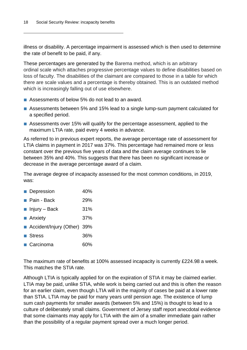illness or disability. A percentage impairment is assessed which is then used to determine the rate of benefit to be paid, if any.

These percentages are generated by the Barema method, which is an arbitrary ordinal scale which attaches progressive percentage values to define disabilities based on loss of faculty. The disabilities of the claimant are compared to those in a table for which there are scale values and a percentage is thereby obtained. This is an outdated method which is increasingly falling out of use elsewhere.

- Assessments of below 5% do not lead to an award.
- Assessments between 5% and 15% lead to a single lump-sum payment calculated for a specified period.
- Assessments over 15% will qualify for the percentage assessment, applied to the maximum LTIA rate, paid every 4 weeks in advance.

As referred to in previous expert reports, the average percentage rate of assessment for LTIA claims in payment in 2017 was 37%. This percentage had remained more or less constant over the previous five years of data and the claim average continues to lie between 35% and 40%. This suggests that there has been no significant increase or decrease in the average percentage award of a claim.

The average degree of incapacity assessed for the most common conditions, in 2019, was:

- Depression 40%
- Pain Back 29%
- Injury Back 31%
- Anxiety 37%
- Accident/Injury (Other) 39%
- Stress 36%
- Carcinoma 60%

The maximum rate of benefits at 100% assessed incapacity is currently £224.98 a week. This matches the STIA rate.

Although LTIA is typically applied for on the expiration of STIA it may be claimed earlier. LTIA may be paid, unlike STIA, while work is being carried out and this is often the reason for an earlier claim, even though LTIA will in the majority of cases be paid at a lower rate than STIA. LTIA may be paid for many years until pension age. The existence of lump sum cash payments for smaller awards (between 5% and 15%) is thought to lead to a culture of deliberately small claims. Government of Jersey staff report anecdotal evidence that some claimants may apply for LTIA with the aim of a smaller immediate gain rather than the possibility of a regular payment spread over a much longer period.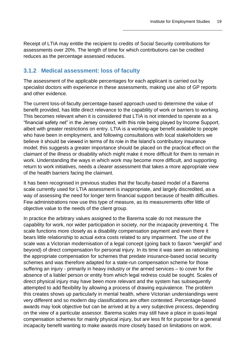Receipt of LTIA may entitle the recipient to credits of Social Security contributions for assessments over 20%. The length of time for which contributions can be credited reduces as the percentage assessed reduces.

#### <span id="page-22-0"></span>**3.1.2 Medical assessment: loss of faculty**

The assessment of the applicable percentages for each applicant is carried out by specialist doctors with experience in these assessments, making use also of GP reports and other evidence.

The current loss-of-faculty percentage-based approach used to determine the value of benefit provided, has little direct relevance to the capability of work or barriers to working. This becomes relevant when it is considered that LTIA is not intended to operate as a "financial safety net" in the Jersey context, with this role being played by Income Support, albeit with greater restrictions on entry. LTIA is a working-age benefit available to people who have been in employment, and following consultations with local stakeholders we believe it should be viewed in terms of its role in the Island's contributory insurance model; this suggests a greater importance should be placed on the practical effect on the claimant of the illness or disability which might make it more difficult for them to remain in work. Understanding the ways in which work may become more difficult, and supporting return to work initiatives, needs a clearer assessment that takes a more appropriate view of the health barriers facing the claimant.

It has been recognised in previous studies that the faculty-based model of a Barema scale currently used for LTIA assessment is inappropriate, and largely discredited, as a way of assessing the need for longer term financial support because of health difficulties. Few administrations now use this type of measure, as its measurements offer little of objective value to the needs of the client group.

In practice the arbitrary values assigned to the Barema scale do not measure the capability for work, nor wider participation in society, nor the incapacity preventing it. The scale functions more closely as a disability compensation payment and even there it bears little relationship to actual extra costs related to any impairment. The use of the scale was a Victorian modernisation of a legal concept (going back to Saxon "wergild" and beyond) of direct compensation for personal injury. In its time it was seen as rationalising the appropriate compensation for schemes that predate insurance-based social security schemes and was therefore adapted for a state-run compensation scheme for those suffering an injury - primarily in heavy industry or the armed services – to cover for the absence of a liable/ person or entity from which legal redress could be sought. Scales of direct physical injury may have been more relevant and the system has subsequently attempted to add flexibility by allowing a process of drawing equivalence. The problem this creates shows up particularly in mental health, where Victorian understandings were very different and so modern day classifications are often contested. Percentage-based awards may look objective but can be arrived at by a very subjective process, depending on the view of a particular assessor. Barema scales may still have a place in quasi-legal compensation schemes for mainly physical injury, but are less fit for purpose for a general incapacity benefit wanting to make awards more closely based on limitations on work.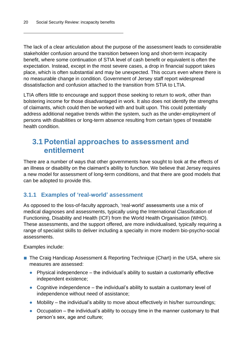The lack of a clear articulation about the purpose of the assessment leads to considerable stakeholder confusion around the transition between long and short-term incapacity benefit, where some continuation of STIA level of cash benefit or equivalent is often the expectation. Instead, except in the most severe cases, a drop in financial support takes place, which is often substantial and may be unexpected. This occurs even where there is no measurable change in condition. Government of Jersey staff report widespread dissatisfaction and confusion attached to the transition from STIA to LTIA.

LTIA offers little to encourage and support those seeking to return to work, other than bolstering income for those disadvantaged in work. It also does not identify the strengths of claimants, which could then be worked with and built upon. This could potentially address additional negative trends within the system, such as the under-employment of persons with disabilities or long-term absence resulting from certain types of treatable health condition.

### <span id="page-23-0"></span>**3.1 Potential approaches to assessment and entitlement**

There are a number of ways that other governments have sought to look at the effects of an illness or disability on the claimant's ability to function. We believe that Jersey requires a new model for assessment of long-term conditions, and that there are good models that can be adopted to provide this.

### <span id="page-23-1"></span>**3.1.1 Examples of 'real-world' assessment**

As opposed to the loss-of-faculty approach, 'real-world' assessments use a mix of medical diagnoses and assessments, typically using the International Classification of Functioning, Disability and Health (ICF) from the World Health Organisation (WHO). These assessments, and the support offered, are more individualised, typically requiring a range of specialist skills to deliver including a specialty in more modern bio-psycho-social assessments.

Examples include:

- The Craig Handicap Assessment & Reporting Technique (Chart) in the USA, where six measures are assessed:
	- **●** Physical independence the individual's ability to sustain a customarily effective independent existence;
	- **●** Cognitive independence the individual's ability to sustain a customary level of independence without need of assistance;
	- **●** Mobility the individual's ability to move about effectively in his/her surroundings;
	- **●** Occupation the individual's ability to occupy time in the manner customary to that person's sex, age and culture;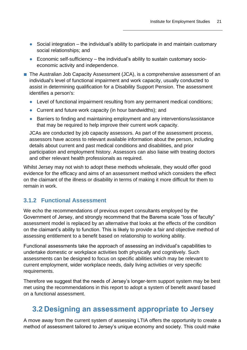- Social integration the individual's ability to participate in and maintain customary social relationships; and
- **●** Economic self-sufficiency the individual's ability to sustain customary socioeconomic activity and independence.
- The Australian Job Capacity Assessment (JCA), is a comprehensive assessment of an individual's level of functional impairment and work capacity, usually conducted to assist in determining qualification for a Disability Support Pension. The assessment identifies a person's:
	- **●** Level of functional impairment resulting from any permanent medical conditions;
	- **●** Current and future work capacity (in hour bandwidths); and
	- **●** Barriers to finding and maintaining employment and any interventions/assistance that may be required to help improve their current work capacity.

JCAs are conducted by job capacity assessors. As part of the assessment process, assessors have access to relevant available information about the person, including details about current and past medical conditions and disabilities, and prior participation and employment history. Assessors can also liaise with treating doctors and other relevant health professionals as required.

Whilst Jersey may not wish to adopt these methods wholesale, they would offer good evidence for the efficacy and aims of an assessment method which considers the effect on the claimant of the illness or disability in terms of making it more difficult for them to remain in work.

### <span id="page-24-0"></span>**3.1.2 Functional Assessment**

We echo the recommendations of previous expert consultants employed by the Government of Jersey, and strongly recommend that the Barema scale "loss of faculty" assessment model is replaced by an alternative that looks at the effects of the condition on the claimant's ability to function. This is likely to provide a fair and objective method of assessing entitlement to a benefit based on relationship to working ability.

Functional assessments take the approach of assessing an individual's capabilities to undertake domestic or workplace activities both physically and cognitively. Such assessments can be designed to focus on specific abilities which may be relevant to current employment, wider workplace needs, daily living activities or very specific requirements.

Therefore we suggest that the needs of Jersey's longer-term support system may be best met using the recommendations in this report to adopt a system of benefit award based on a functional assessment.

### <span id="page-24-1"></span>**3.2 Designing an assessment appropriate to Jersey**

A move away from the current system of assessing LTIA offers the opportunity to create a method of assessment tailored to Jersey's unique economy and society. This could make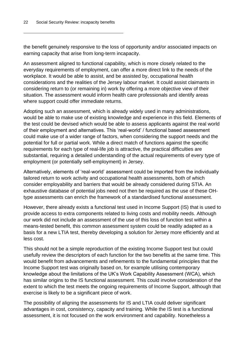the benefit genuinely responsive to the loss of opportunity and/or associated impacts on earning capacity that arise from long-term incapacity.

An assessment aligned to functional capability, which is more closely related to the everyday requirements of employment, can offer a more direct link to the needs of the workplace. It would be able to assist, and be assisted by, occupational health considerations and the realities of the Jersey labour market. It could assist claimants in considering return to (or remaining in) work by offering a more objective view of their situation. The assessment would inform health care professionals and identify areas where support could offer immediate returns.

Adopting such an assessment, which is already widely used in many administrations, would be able to make use of existing knowledge and experience in this field. Elements of the test could be devised which would be able to assess applicants against the real world of their employment and alternatives. This 'real-world' / functional based assessment could make use of a wider range of factors, when considering the support needs and the potential for full or partial work. While a direct match of functions against the specific requirements for each type of real-life job is attractive, the practical difficulties are substantial, requiring a detailed understanding of the actual requirements of every type of employment (or potentially self-employment) in Jersey.

Alternatively, elements of 'real-world' assessment could be imported from the individually tailored return to work activity and occupational health assessments, both of which consider employability and barriers that would be already considered during STIA. An exhaustive database of potential jobs need not then be required as the use of these OHtype assessments can enrich the framework of a standardised functional assessment.

However, there already exists a functional test used in Income Support (IS) that is used to provide access to extra components related to living costs and mobility needs. Although our work did not include an assessment of the use of this loss of function test within a means-tested benefit, this common assessment system could be readily adapted as a basis for a new LTIA test, thereby developing a solution for Jersey more efficiently and at less cost.

This should not be a simple reproduction of the existing Income Support test but could usefully review the descriptors of each function for the two benefits at the same time. This would benefit from advancements and refinements to the fundamental principles that the Income Support test was originally based on, for example utilising contemporary knowledge about the limitations of the UK's Work Capability Assessment (WCA), which has similar origins to the IS functional assessment. This could involve consideration of the extent to which the test meets the ongoing requirements of Income Support, although that exercise is likely to be a significant piece of work.

The possibility of aligning the assessments for IS and LTIA could deliver significant advantages in cost, consistency, capacity and training. While the IS test is a functional assessment, it is not focused on the work environment and capability. Nonetheless a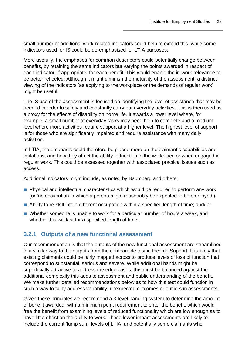small number of additional work-related indicators could help to extend this, while some indicators used for IS could be de-emphasised for LTIA purposes.

More usefully, the emphases for common descriptors could potentially change between benefits, by retaining the same indicators but varying the points awarded in respect of each indicator, if appropriate, for each benefit. This would enable the in-work relevance to be better reflected. Although it might diminish the mutuality of the assessment, a distinct viewing of the indicators 'as applying to the workplace or the demands of regular work' might be useful.

The IS use of the assessment is focused on identifying the level of assistance that may be needed in order to safely and constantly carry out everyday activities. This is then used as a proxy for the effects of disability on home life. It awards a lower level where, for example, a small number of everyday tasks may need help to complete and a medium level where more activities require support at a higher level. The highest level of support is for those who are significantly impaired and require assistance with many daily activities.

In LTIA, the emphasis could therefore be placed more on the claimant's capabilities and imitations, and how they affect the ability to function in the workplace or when engaged in regular work. This could be assessed together with associated practical issues such as access.

Additional indicators might include, as noted by Baumberg and others:

- Physical and intellectual characteristics which would be required to perform any work (or 'an occupation in which a person might reasonably be expected to be employed');
- Ability to re-skill into a different occupation within a specified length of time; and/ or
- Whether someone is unable to work for a particular number of hours a week, and whether this will last for a specified length of time.

### <span id="page-26-0"></span>**3.2.1 Outputs of a new functional assessment**

Our recommendation is that the outputs of the new functional assessment are streamlined in a similar way to the outputs from the comparable test in Income Support. It is likely that existing claimants could be fairly mapped across to produce levels of loss of function that correspond to substantial, serious and severe. While additional bands might be superficially attractive to address the edge cases, this must be balanced against the additional complexity this adds to assessment and public understanding of the benefit. We make further detailed recommendations below as to how this test could function in such a way to fairly address variability, unexpected outcomes or outliers in assessments.

Given these principles we recommend a 3-level banding system to determine the amount of benefit awarded, with a minimum point requirement to enter the benefit, which would free the benefit from examining levels of reduced functionality which are low enough as to have little effect on the ability to work. These lower impact assessments are likely to include the current 'lump sum' levels of LTIA, and potentially some claimants who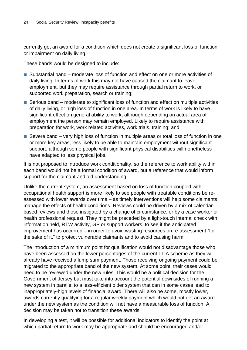currently get an award for a condition which does not create a significant loss of function or impairment on daily living.

These bands would be designed to include:

- Substantial band moderate loss of function and effect on one or more activities of daily living. In terms of work this may not have caused the claimant to leave employment, but they may require assistance through partial return to work, or supported work preparation, search or training;
- Serious band moderate to significant loss of function and effect on multiple activities of daily living, or high loss of function in one area. In terms of work is likely to have significant effect on general ability to work, although depending on actual area of employment the person may remain employed. Likely to require assistance with preparation for work, work related activities, work trials, training; and
- Severe band very high loss of function in multiple areas or total loss of function in one or more key areas, less likely to be able to maintain employment without significant support, although some people with significant physical disabilities will nonetheless have adapted to less physical jobs.

It is not proposed to introduce work conditionality, so the reference to work ability within each band would not be a formal condition of award, but a reference that would inform support for the claimant and aid understanding.

Unlike the current system, an assessment based on loss of function coupled with occupational health support is more likely to see people with treatable conditions be reassessed with lower awards over time – as timely interventions will help some claimants manage the effects of health conditions. Reviews could be driven by a mix of calendarbased reviews and those instigated by a change of circumstance, or by a case worker or health professional request. They might be preceded by a light-touch internal check with information held, RTW activity, GP or support workers, to see if the anticipated improvement has occurred – in order to avoid wasting resources on re-assessment "for the sake of it," to protect vulnerable claimants and to avoid causing harm.

The introduction of a minimum point for qualification would not disadvantage those who have been assessed on the lower percentages of the current LTIA scheme as they will already have received a lump sum payment. Those receiving ongoing payment could be migrated to the appropriate band of the new system. At some point, their cases would need to be reviewed under the new rules. This would be a political decision for the Government of Jersey but must take into account the potential downsides of running a new system in parallel to a less-efficient older system that can in some cases lead to inappropriately-high levels of financial award. There will also be some, mostly lower, awards currently qualifying for a regular weekly payment which would not get an award under the new system as the condition will not have a measurable loss of function. A decision may be taken not to transition these awards.

In developing a test, it will be possible for additional indicators to identify the point at which partial return to work may be appropriate and should be encouraged and/or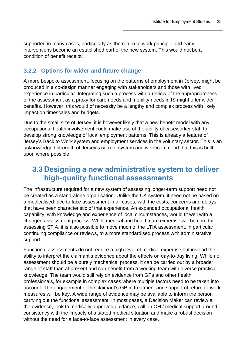supported in many cases, particularly as the return to work principle and early interventions become an established part of the new system. This would not be a condition of benefit receipt.

### <span id="page-28-0"></span>**3.2.2 Options for wider and future change**

A more bespoke assessment, focusing on the patterns of employment in Jersey, might be produced in a co-design manner engaging with stakeholders and those with lived experience in particular. Integrating such a process with a review of the appropriateness of the assessment as a proxy for care needs and mobility needs in IS might offer wider benefits. However, this would of necessity be a lengthy and complex process with likely impact on timescales and budgets.

Due to the small size of Jersey, it is however likely that a new benefit model with any occupational health involvement could make use of the ability of caseworker staff to develop strong knowledge of local employment patterns. This is already a feature of Jersey's Back to Work system and employment services in the voluntary sector. This is an acknowledged strength of Jersey's current system and we recommend that this is built upon where possible.

### <span id="page-28-1"></span>**3.3 Designing a new administrative system to deliver high-quality functional assessments**

The infrastructure required for a new system of assessing longer-term support need not be created as a stand-alone organisation. Unlike the UK system, it need not be based on a medicalised face to face assessment in all cases, with the costs, concerns and delays that have been characteristic of that experience. An expanded occupational health capability, with knowledge and experience of local circumstances, would fit well with a changed assessment process. While medical and health care expertise will be core for assessing STIA, it is also possible to move much of the LTIA assessment, in particular continuing compliance or reviews, to a more standardised process with administrative support.

Functional assessments do not require a high level of medical expertise but instead the ability to interpret the claimant's evidence about the effects on day-to-day living. While no assessment should be a purely mechanical process, it can be carried out by a broader range of staff than at present and can benefit from a working team with diverse practical knowledge. The team would still rely on evidence from GPs and other health professionals, for example in complex cases where multiple factors need to be taken into account. The engagement of the claimant's GP in treatment and support of return-to-work measures will be key. A wide range of evidence may be available to inform the person carrying out the functional assessment. In most cases, a Decision Maker can review all the evidence, look to medically approved guidance, call on OH / medical support around consistency with the impacts of a stated medical situation and make a robust decision without the need for a face-to-face assessment in every case.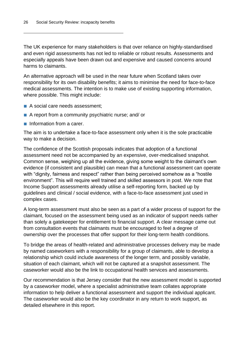The UK experience for many stakeholders is that over reliance on highly-standardised and even rigid assessments has not led to reliable or robust results. Assessments and especially appeals have been drawn out and expensive and caused concerns around harms to claimants.

An alternative approach will be used in the near future when Scotland takes over responsibility for its own disability benefits; it aims to minimise the need for face-to-face medical assessments. The intention is to make use of existing supporting information, where possible. This might include:

- A social care needs assessment;
- A report from a community psychiatric nurse; and/ or
- Information from a carer.

The aim is to undertake a face-to-face assessment only when it is the sole practicable way to make a decision.

The confidence of the Scottish proposals indicates that adoption of a functional assessment need not be accompanied by an expensive, over-medicalised snapshot. Common sense, weighing up all the evidence, giving some weight to the claimant's own evidence (if consistent and plausible) can mean that a functional assessment can operate with "dignity, fairness and respect" rather than being perceived somehow as a "hostile" environment". This will require well trained and skilled assessors in post. We note that Income Support assessments already utilise a self-reporting form, backed up by guidelines and clinical / social evidence, with a face-to-face assessment just used in complex cases.

A long-term assessment must also be seen as a part of a wider process of support for the claimant, focused on the assessment being used as an indicator of support needs rather than solely a gatekeeper for entitlement to financial support. A clear message came out from consultation events that claimants must be encouraged to feel a degree of ownership over the processes that offer support for their long-term health conditions.

To bridge the areas of health-related and administrative processes delivery may be made by named caseworkers with a responsibility for a group of claimants, able to develop a relationship which could include awareness of the longer term, and possibly variable, situation of each claimant, which will not be captured at a snapshot assessment. The caseworker would also be the link to occupational health services and assessments.

Our recommendation is that Jersey consider that the new assessment model is supported by a caseworker model, where a specialist administrative team collates appropriate information to help deliver a functional assessment and support the individual applicant. The caseworker would also be the key coordinator in any return to work support, as detailed elsewhere in this report.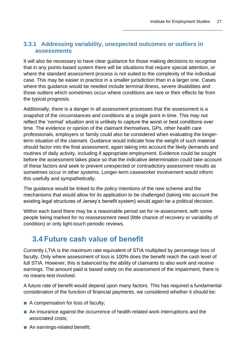### <span id="page-30-0"></span>**3.3.1 Addressing variability, unexpected outcomes or outliers in assessments**

It will also be necessary to have clear guidance for those making decisions to recognise that in any points-based system there will be situations that require special attention, or where the standard assessment process is not suited to the complexity of the individual case. This may be easier in practice in a smaller jurisdiction than in a larger one. Cases where this guidance would be needed include terminal illness, severe disabilities and those outliers which sometimes occur where conditions are rare or their effects far from the typical prognosis.

Additionally, there is a danger in all assessment processes that the assessment is a snapshot of the circumstances and conditions at a single point in time. This may not reflect the 'normal' situation and is unlikely to capture the worst or best conditions over time. The evidence or opinion of the claimant themselves, GPs, other health care professionals, employers or family could also be considered when evaluating the longerterm situation of the claimant. Guidance would indicate how the weight of such material should factor into the final assessment, again taking into account the likely demands and routines of daily activity, including if appropriate employment. Evidence could be sought before the assessment takes place so that the indicative determination could take account of these factors and seek to prevent unexpected or contradictory assessment results as sometimes occur in other systems. Longer-term caseworker involvement would inform this usefully and sympathetically.

The guidance would be linked to the policy intentions of the new scheme and the mechanisms that would allow for its application to be challenged (taking into account the existing legal structures of Jersey's benefit system) would again be a political decision.

Within each band there may be a reasonable period set for re-assessment, with some people being marked for no reassessment need (little chance of recovery or variability of condition) or only light-touch periodic reviews.

### <span id="page-30-1"></span>**3.4 Future cash value of benefit**

Currently LTIA is the maximum rate equivalent of STIA multiplied by percentage loss of faculty. Only where assessment of loss is 100% does the benefit reach the cash level of full STIA. However, this is balanced by the ability of claimants to also work and receive earnings. The amount paid is based solely on the assessment of the impairment, there is no means-test involved.

A future rate of benefit would depend upon many factors. This has required a fundamental consideration of the function of financial payments, we considered whether it should be:

- A compensation for loss of faculty;
- An insurance against the occurrence of health-related work interruptions and the associated costs;
- An earnings-related benefit;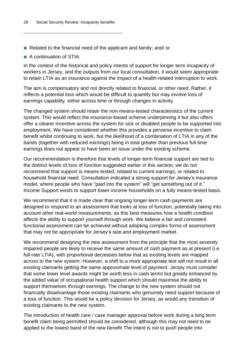- Related to the financial need of the applicant and family; and/ or
- A continuation of STIA.

In the context of the historical and policy intents of support for longer term incapacity of workers in Jersey, and the outputs from our local consultation, it would seem appropriate to retain LTIA as an insurance against the impact of a health-related interruption to work.

The aim is compensatory and not directly related to financial, or other need. Rather, it reflects a potential loss which would be difficult to quantify but may involve loss of earnings capability, either across time or through changes in activity.

The changed system should retain the non-means-tested characteristics of the current system. This would reflect the insurance-based scheme underpinning it but also offers offer a clearer incentive across the system for sick or disabled people to be supported into employment. We have considered whether this provides a perverse incentive to claim benefit whilst continuing to work, but the likelihood of a combination of LTIA in any of the bands (together with reduced earnings) being in total greater than previous full-time earnings does not appear to have been an issue under the existing scheme.

Our recommendation is therefore that levels of longer-term financial support are tied to the distinct levels of loss of function suggested earlier in this section; we do not recommend that support is means-tested, related to current earnings, or related to household financial need. Consultation indicated a strong support for Jersey's insurance model, where people who have "paid into the system" will "get something out of it." Income Support exists to support lower-income households on a fully means-tested basis.

We recommend that it is made clear that ongoing longer-term cash payments are designed to respond to an assessment that looks at loss of function, potentially taking into account other real-world measurements, as this best measures how a health condition affects the ability to support yourself through work. We believe a fair and consistent functional assessment can be achieved without adopting complex forms of assessment that may not be appropriate for Jersey's size and employment market.

We recommend designing the new assessment from the principle that the most severely impaired people are likely to receive the same amount of cash payment as at present (i.e. full-rate LTIA), with proportional decreases below that as existing levels are mapped across to the new system. However, a shift to a more appropriate test will not result in all existing claimants getting the same approximate level of payment. Jersey must consider that some lower level awards might be worth less in cash terms but greatly enhanced by the added value of occupational health support which should maximise the ability to support themselves through earnings. The change to the new system should not financially disadvantage those existing claimants who genuinely need support because of a loss of function. This would be a policy decision for Jersey, as would any transition of existing claimants to the new system.

The introduction of health care / case manager approval before work during a long term benefit claim being permitted should be considered, although this may not need to be applied to the lowest band of the new benefit The intent is not to push people into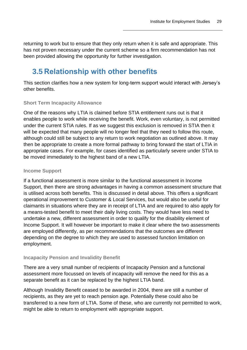returning to work but to ensure that they only return when it is safe and appropriate. This has not proven necessary under the current scheme so a firm recommendation has not been provided allowing the opportunity for further investigation.

## <span id="page-32-0"></span>**3.5 Relationship with other benefits**

This section clarifies how a new system for long-term support would interact with Jersey's other benefits.

#### **Short Term Incapacity Allowance**

One of the reasons why LTIA is claimed before STIA entitlement runs out is that it enables people to work while receiving the benefit. Work, even voluntary, is not permitted under the current STIA rules. If as we suggest this exclusion is removed in STIA then it will be expected that many people will no longer feel that they need to follow this route, although could still be subject to any return to work negotiation as outlined above. It may then be appropriate to create a more formal pathway to bring forward the start of LTIA in appropriate cases. For example, for cases identified as particularly severe under STIA to be moved immediately to the highest band of a new LTIA.

#### **Income Support**

If a functional assessment is more similar to the functional assessment in Income Support, then there are strong advantages in having a common assessment structure that is utilised across both benefits. This is discussed in detail above. This offers a significant operational improvement to Customer & Local Services, but would also be useful for claimants in situations where they are in receipt of LTIA and are required to also apply for a means-tested benefit to meet their daily living costs. They would have less need to undertake a new, different assessment in order to qualify for the disability element of Income Support. It will however be important to make it clear where the two assessments are employed differently, as per recommendations that the outcomes are different depending on the degree to which they are used to assessed function limitation on employment.

#### **Incapacity Pension and Invalidity Benefit**

There are a very small number of recipients of Incapacity Pension and a functional assessment more focussed on levels of incapacity will remove the need for this as a separate benefit as it can be replaced by the highest LTIA band.

Although Invalidity Benefit ceased to be awarded in 2004, there are still a number of recipients, as they are yet to reach pension age. Potentially these could also be transferred to a new form of LTIA. Some of these, who are currently not permitted to work, might be able to return to employment with appropriate support.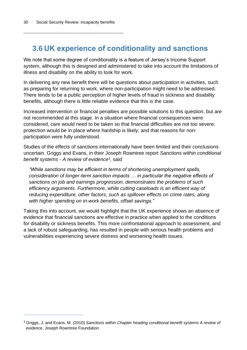## <span id="page-33-0"></span>**3.6 UK experience of conditionality and sanctions**

We note that some degree of conditionality is a feature of Jersey's Income Support system, although this is designed and administered to take into account the limitations of illness and disability on the ability to look for work.

In delivering any new benefit there will be questions about participation in activities, such as preparing for returning to work, where non-participation might need to be addressed. There tends to be a public perception of higher levels of fraud in sickness and disability benefits, although there is little reliable evidence that this is the case.

Increased intervention or financial penalties are possible solutions to this question, but are not recommended at this stage. In a situation where financial consequences were considered, care would need to be taken so that financial difficulties are not too severe; protection would be in place where hardship is likely; and that reasons for nonparticipation were fully understood.

Studies of the effects of sanctions internationally have been limited and their conclusions uncertain. Griggs and Evans, in their Joseph Rowntree report *Sanctions within conditional benefit systems - A review of evidence<sup>3</sup>* , said

*"While sanctions may be efficient in terms of shortening unemployment spells, consideration of longer-term sanction impacts … in particular the negative effects of sanctions on job and earnings progression, demonstrates the problems of such efficiency arguments. Furthermore, while cutting caseloads is an efficient way of reducing expenditure, other factors, such as spillover effects on crime rates, along with higher spending on in-work benefits, offset savings."*

Taking this into account, we would highlight that the UK experience shows an absence of evidence that financial sanctions are effective in practice when applied to the conditions for disability or sickness benefits. This more confrontational approach to assessment, and a lack of robust safeguarding, has resulted in people with serious health problems and vulnerabilities experiencing severe distress and worsening health issues.

<sup>3</sup> Griggs, J. and Evans, M. (2010) *Sanctions within Chapter heading conditional benefit systems A review of evidence*, Joseph Rowntree Foundation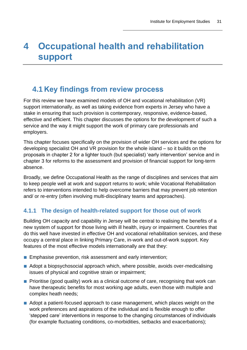# <span id="page-34-0"></span>**4 Occupational health and rehabilitation support**

### <span id="page-34-1"></span>**4.1 Key findings from review process**

For this review we have examined models of OH and vocational rehabilitation (VR) support internationally, as well as taking evidence from experts in Jersey who have a stake in ensuring that such provision is contemporary, responsive, evidence-based, effective and efficient. This chapter discusses the options for the development of such a service and the way it might support the work of primary care professionals and employers.

This chapter focuses specifically on the provision of wider OH services and the options for developing specialist OH and VR provision for the whole island – so it builds on the proposals in chapter 2 for a lighter touch (but specialist) 'early intervention' service and in chapter 3 for reforms to the assessment and provision of financial support for long-term absence.

Broadly, we define Occupational Health as the range of disciplines and services that aim to keep people well at work and support returns to work; while Vocational Rehabilitation refers to interventions intended to help overcome barriers that may prevent job retention and/ or re-entry (often involving multi-disciplinary teams and approaches).

### <span id="page-34-2"></span>**4.1.1 The design of health-related support for those out of work**

Building OH capacity and capability in Jersey will be central to realising the benefits of a new system of support for those living with ill health, injury or impairment. Countries that do this well have invested in effective OH and vocational rehabilitation services, and these occupy a central place in linking Primary Care, in-work and out-of-work support. Key features of the most effective models internationally are that they:

- Emphasise prevention, risk assessment and early intervention;
- Adopt a biopsychosocial approach which, where possible, avoids over-medicalising issues of physical and cognitive strain or impairment;
- Prioritise (good quality) work as a clinical outcome of care, recognising that work can have therapeutic benefits for most working age adults, even those with multiple and complex heath needs;
- Adopt a patient-focused approach to case management, which places weight on the work preferences and aspirations of the individual and is flexible enough to offer 'stepped care' interventions in response to the changing circumstances of individuals (for example fluctuating conditions, co-morbidities, setbacks and exacerbations);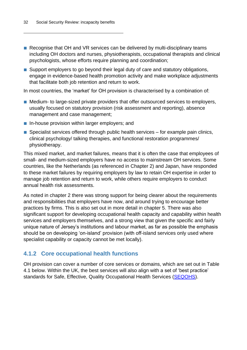- Recognise that OH and VR services can be delivered by multi-disciplinary teams including OH doctors and nurses, physiotherapists, occupational therapists and clinical psychologists, whose efforts require planning and coordination;
- Support employers to go beyond their legal duty of care and statutory obligations, engage in evidence-based health promotion activity and make workplace adjustments that facilitate both job retention and return to work.

In most countries, the 'market' for OH provision is characterised by a combination of:

- Medium- to large-sized private providers that offer outsourced services to employers, usually focused on statutory provision (risk assessment and reporting), absence management and case management;
- In-house provision within larger employers; and
- $\blacksquare$  Specialist services offered through public health services for example pain clinics, clinical psychology/ talking therapies, and functional restoration programmes/ physiotherapy.

This mixed market, and market failures, means that it is often the case that employees of small- and medium-sized employers have no access to mainstream OH services. Some countries, like the Netherlands (as referenced in Chapter 2) and Japan, have responded to these market failures by requiring employers by law to retain OH expertise in order to manage job retention and return to work, while others require employers to conduct annual health risk assessments.

As noted in chapter 2 there was strong support for being clearer about the requirements and responsibilities that employers have now, and around trying to encourage better practices by firms. This is also set out in more detail in chapter 5. There was also significant support for developing occupational health capacity and capability within health services and employers themselves, and a strong view that given the specific and fairly unique nature of Jersey's institutions and labour market, as far as possible the emphasis should be on developing 'on-island' provision (with off-island services only used where specialist capability or capacity cannot be met locally).

#### <span id="page-35-0"></span>**4.1.2 Core occupational health functions**

OH provision can cover a number of core services or domains, which are set out in [Table](#page-36-0)  [4.1](#page-36-0) below. Within the UK, the best services will also align with a set of 'best practice' standards for Safe, Effective, Quality Occupational Health Services [\(SEQOHS\)](https://www.seqohs.org/CMS/Page.aspx?PageId=77).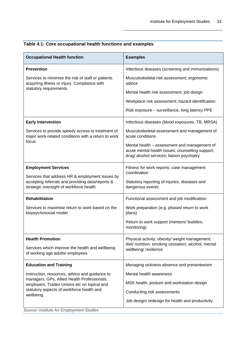| <b>Occupational Health function</b>                                                                                                                                                                    | <b>Examples</b>                                                                                                                                |  |
|--------------------------------------------------------------------------------------------------------------------------------------------------------------------------------------------------------|------------------------------------------------------------------------------------------------------------------------------------------------|--|
| <b>Prevention</b>                                                                                                                                                                                      | Infectious diseases (screening and immunisations)                                                                                              |  |
| Services to minimise the risk of staff or patients<br>acquiring illness or injury. Compliance with                                                                                                     | Musculoskeletal risk assessment; ergonomic<br>advice                                                                                           |  |
| statutory requirements.                                                                                                                                                                                | Mental health risk assessment; job design                                                                                                      |  |
|                                                                                                                                                                                                        | Workplace risk assessment; hazard identification                                                                                               |  |
|                                                                                                                                                                                                        | Risk exposure - surveillance, long latency PPE                                                                                                 |  |
| <b>Early Intervention</b>                                                                                                                                                                              | Infectious diseases (blood exposures, TB, MRSA)                                                                                                |  |
| Services to provide speedy access to treatment of<br>major work-related conditions with a return to work                                                                                               | Musculoskeletal assessment and management of<br>acute conditions                                                                               |  |
| focus                                                                                                                                                                                                  | Mental health - assessment and management of<br>acute mental health issues; counselling support;<br>drug/ alcohol services; liaison psychiatry |  |
| <b>Employment Services</b>                                                                                                                                                                             | Fitness for work reports; case management                                                                                                      |  |
| Services that address HR & employment issues by<br>accepting referrals and providing data/reports &<br>strategic oversight of workforce health                                                         | coordination<br>Statutory reporting of injuries, diseases and<br>dangerous events                                                              |  |
| <b>Rehabilitation</b>                                                                                                                                                                                  | Functional assessment and job modification                                                                                                     |  |
| Services to maximise return to work based on the<br>biopsychosocial model                                                                                                                              | Work preparation (e.g. phased return to work<br>plans)                                                                                         |  |
|                                                                                                                                                                                                        | Return to work support (mentors/ buddies,<br>monitoring)                                                                                       |  |
| <b>Health Promotion</b>                                                                                                                                                                                | Physical activity; obesity/ weight management;                                                                                                 |  |
| Services which improve the health and wellbeing<br>of working age adults/ employees                                                                                                                    | diet/ nutrition; smoking cessation; alcohol, mental<br>wellbeing/resilience                                                                    |  |
| <b>Education and Training</b>                                                                                                                                                                          | Managing sickness absence and presenteeism                                                                                                     |  |
| Instruction, resources, advice and guidance to<br>managers, GPs, Allied Health Professionals,<br>employers, Trades Unions etc on topical and<br>statutory aspects of workforce health and<br>wellbeing | Mental health awareness                                                                                                                        |  |
|                                                                                                                                                                                                        | MSK health, posture and workstation design                                                                                                     |  |
|                                                                                                                                                                                                        | Conducting risk assessments                                                                                                                    |  |
|                                                                                                                                                                                                        | Job design/redesign for health and productivity                                                                                                |  |

<span id="page-36-0"></span>

*Source: Institute for Employment Studies*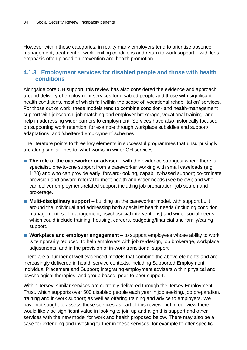However within these categories, in reality many employers tend to prioritise absence management, treatment of work-limiting conditions and return to work support – with less emphasis often placed on prevention and health promotion.

#### <span id="page-37-0"></span>**4.1.3 Employment services for disabled people and those with health conditions**

Alongside core OH support, this review has also considered the evidence and approach around delivery of employment services for disabled people and those with significant health conditions, most of which fall within the scope of 'vocational rehabilitation' services. For those out of work, these models tend to combine condition- and health-management support with jobsearch, job matching and employer brokerage, vocational training, and help in addressing wider barriers to employment. Services have also historically focused on supporting work retention, for example through workplace subsidies and support/ adaptations, and 'sheltered employment' schemes.

The literature points to three key elements in successful programmes that unsurprisingly are along similar lines to 'what works' in wider OH services:

- **The role of the caseworker or adviser** with the evidence strongest where there is specialist, one-to-one support from a caseworker working with small caseloads (e.g. 1:20) and who can provide early, forward-looking, capability-based support; co-ordinate provision and onward referral to meet health and wider needs (see below); and who can deliver employment-related support including job preparation, job search and brokerage.
- **Multi-disciplinary support** building on the caseworker model, with support built around the individual and addressing both specialist health needs (including condition management, self-management, psychosocial interventions) and wider social needs which could include training, housing, careers, budgeting/financial and family/caring support.
- **Workplace and employer engagement** to support employees whose ability to work is temporarily reduced, to help employers with job re-design, job brokerage, workplace adjustments, and in the provision of in-work transitional support.

There are a number of well evidenced models that combine the above elements and are increasingly delivered in health service contexts, including Supported Employment; Individual Placement and Support; integrating employment advisers within physical and psychological therapies; and group based, peer-to-peer support.

Within Jersey, similar services are currently delivered through the Jersey Employment Trust, which supports over 500 disabled people each year in job seeking, job preparation, training and in-work support; as well as offering training and advice to employers. We have not sought to assess these services as part of this review, but in our view there would likely be significant value in looking to join up and align this support and other services with the new model for work and health proposed below. There may also be a case for extending and investing further in these services, for example to offer specific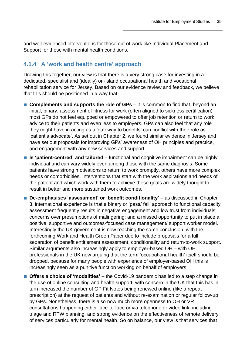and well-evidenced interventions for those out of work like Individual Placement and Support for those with mental health conditions.

#### <span id="page-38-0"></span>**4.1.4 A 'work and health centre' approach**

Drawing this together, our view is that there is a very strong case for investing in a dedicated, specialist and (ideally) on-island occupational health and vocational rehabilitation service for Jersey. Based on our evidence review and feedback, we believe that this should be positioned in a way that:

- **Complements and supports the role of GPs** it is common to find that, beyond an initial, binary, assessment of fitness for work (often aligned to sickness certification) most GPs do not feel equipped or empowered to offer job retention or return to work advice to their patients and even less to employers. GPs can also feel that any role they might have in acting as a 'gateway to benefits' can conflict with their role as 'patient's advocate'. As set out in Chapter 2, we found similar evidence in Jersey and have set out proposals for improving GPs' awareness of OH principles and practice, and engagement with any new services and support.
- **Is 'patient-centred' and tailored** functional and cognitive impairment can be highly individual and can vary widely even among those with the same diagnosis. Some patients have strong motivations to return to work promptly, others have more complex needs or comorbidities. Interventions that start with the work aspirations and needs of the patient and which work with them to achieve these goals are widely thought to result in better and more sustained work outcomes.
- **De-emphasises 'assessment' or 'benefit conditionality'** as discussed in Chapter 3, international experience is that a binary or 'pass/ fail' approach to functional capacity assessment frequently results in negative engagement and low trust from individuals; concerns over presumptions of malingering; and a missed opportunity to put in place a positive, supportive and outcomes-focused case management/ support worker model. Interestingly the UK government is now reaching the same conclusion, with the forthcoming Work and Health Green Paper due to include proposals for a full separation of benefit entitlement assessment, conditionality and return-to-work support. Similar arguments also increasingly apply to employer-based OH – with OH professionals in the UK now arguing that the term 'occupational health' itself should be dropped, because for many people with experience of employer-based OH this is increasingly seen as a punitive function working on behalf of employers.
- **Offers a choice of 'modalities'** the Covid-19 pandemic has led to a step change in the use of online consulting and health support, with concern in the UK that this has in turn increased the number of GP Fit Notes being renewed online (like a repeat prescription) at the request of patients and without re-examination or regular follow-up by GPs. Nonetheless, there is also now much more openness to OH or VR consultations happening either face-to-face or via telephone or video link, including triage and RTW planning, and strong evidence on the effectiveness of remote delivery of services particularly for mental health. So on balance, our view is that services that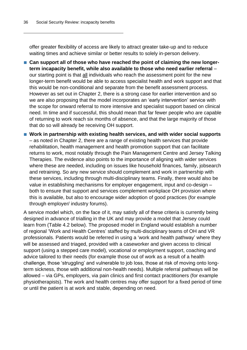offer greater flexibility of access are likely to attract greater take-up and to reduce waiting times and achieve similar or better results to solely in-person delivery.

- Can support all of those who have reached the point of claiming the new longer**term incapacity benefit, while also available to those who need earlier referral** – our starting point is that all individuals who reach the assessment point for the new longer-term benefit would be able to access specialist health and work support and that this would be non-conditional and separate from the benefit assessment process. However as set out in Chapter 2, there is a strong case for earlier intervention and so we are also proposing that the model incorporates an 'early intervention' service with the scope for onward referral to more intensive and specialist support based on clinical need. In time and if successful, this should mean that far fewer people who are capable of returning to work reach six months of absence, and that the large majority of those that do so will already be receiving OH support.
- Work in partnership with existing health services, and with wider social supports – as noted in Chapter 2, there are a range of existing health services that provide rehabilitation, health management and health promotion support that can facilitate returns to work, most notably through the Pain Management Centre and Jersey Talking Therapies. The evidence also points to the importance of aligning with wider services where these are needed, including on issues like household finances, family, jobsearch and retraining. So any new service should complement and work in partnership with these services, including through multi-disciplinary teams. Finally, there would also be value in establishing mechanisms for employer engagement, input and co-design – both to ensure that support and services complement workplace OH provision where this is available, but also to encourage wider adoption of good practices (for example through employer/ industry forums).

A service model which, on the face of it, may satisfy all of these criteria is currently being designed in advance of trialling in the UK and may provide a model that Jersey could learn from [\(Table 4.2](#page-40-0) below). The proposed model in England would establish a number of regional 'Work and Health Centres' staffed by multi-disciplinary teams of OH and VR professionals. Patients would be referred in using a 'work and health pathway' where they will be assessed and triaged, provided with a caseworker and given access to clinical support (using a stepped care model), vocational or employment support, coaching and advice tailored to their needs (for example those out of work as a result of a health challenge, those 'struggling' and vulnerable to job loss, those at risk of moving onto longterm sickness, those with additional non-health needs). Multiple referral pathways will be allowed – via GPs, employers, via pain clinics and first contact practitioners (for example physiotherapists). The work and health centres may offer support for a fixed period of time or until the patient is at work and stable, depending on need.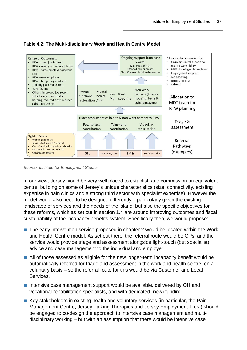(examples)



Secondary care

<span id="page-40-0"></span>**Table 4.2: The Multi-disciplinary Work and Health Centre Model**

 $GPS$ 

*Source: Institute for Employment Studies*

**Reasonable prospect of RTW** 

Consents to referral

In our view, Jersey would be very well placed to establish and commission an equivalent centre, building on some of Jersey's unique characteristics (size, connectivity, existing expertise in pain clinics and a strong third sector with specialist expertise). However the model would also need to be designed differently – particularly given the existing landscape of services and the needs of the island; but also the specific objectives for these reforms, which as set out in section 1.4 are around improving outcomes and fiscal sustainability of the incapacity benefits system. Specifically then, we would propose:

**SMEs** 

Social security

- The early intervention service proposed in chapter 2 would be located within the Work and Health Centre model. As set out there, the referral route would be GPs, and the service would provide triage and assessment alongside light-touch (but specialist) advice and case management to the individual and employer.
- All of those assessed as eligible for the new longer-term incapacity benefit would be automatically referred for triage and assessment in the work and health centre, on a voluntary basis – so the referral route for this would be via Customer and Local Services.
- Intensive case management support would be available, delivered by OH and vocational rehabilitation specialists, and with dedicated (new) funding.
- Key stakeholders in existing health and voluntary services (in particular, the Pain Management Centre, Jersey Talking Therapies and Jersey Employment Trust) should be engaged to co-design the approach to intensive case management and multidisciplinary working – but with an assumption that there would be intensive case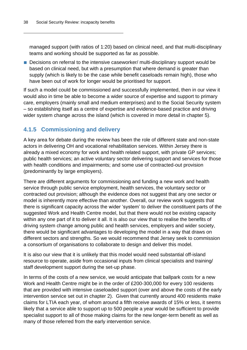managed support (with ratios of 1:20) based on clinical need, and that multi-disciplinary teams and working should be supported as far as possible.

■ Decisions on referral to the intensive caseworker/ multi-disciplinary support would be based on clinical need, but with a presumption that where demand is greater than supply (which is likely to be the case while benefit caseloads remain high), those who have been out of work for longer would be prioritised for support.

If such a model could be commissioned and successfully implemented, then in our view it would also in time be able to become a wider source of expertise and support to primary care, employers (mainly small and medium enterprises) and to the Social Security system – so establishing itself as a centre of expertise and evidence-based practice and driving wider system change across the island (which is covered in more detail in chapter 5).

### <span id="page-41-0"></span>**4.1.5 Commissioning and delivery**

A key area for debate during the review has been the role of different state and non-state actors in delivering OH and vocational rehabilitation services. Within Jersey there is already a mixed economy for work and health related support, with private GP services; public health services; an active voluntary sector delivering support and services for those with health conditions and impairments; and some use of contracted-out provision (predominantly by large employers).

There are different arguments for commissioning and funding a new work and health service through public service employment, health services, the voluntary sector or contracted out provision; although the evidence does not suggest that any one sector or model is inherently more effective than another. Overall, our review work suggests that there is significant capacity across the wider 'system' to deliver the constituent parts of the suggested Work and Health Centre model, but that there would not be existing capacity within any one part of it to deliver it all. It is also our view that to realise the benefits of driving system change among public and health services, employers and wider society, there would be significant advantages to developing the model in a way that draws on different sectors and strengths. So we would recommend that Jersey seek to commission a consortium of organisations to collaborate to design and deliver this model.

It is also our view that it is unlikely that this model would need substantial off-island resource to operate, aside from occasional inputs from clinical specialists and training/ staff development support during the set-up phase.

In terms of the costs of a new service, we would anticipate that ballpark costs for a new Work and Health Centre might be in the order of £200-300,000 for every 100 residents that are provided with intensive caseloaded support (over and above the costs of the early intervention service set out in chapter 2). Given that currently around 400 residents make claims for LTIA each year, of whom around a fifth receive awards of 15% or less, it seems likely that a service able to support up to 500 people a year would be sufficient to provide specialist support to all of those making claims for the new longer-term benefit as well as many of those referred from the early intervention service.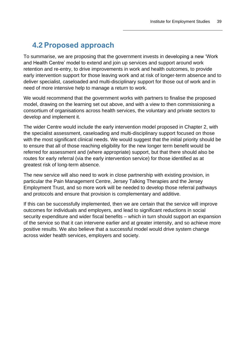## <span id="page-42-0"></span>**4.2 Proposed approach**

To summarise, we are proposing that the government invests in developing a new 'Work and Health Centre' model to extend and join up services and support around work retention and re-entry, to drive improvements in work and health outcomes, to provide early intervention support for those leaving work and at risk of longer-term absence and to deliver specialist, caseloaded and multi-disciplinary support for those out of work and in need of more intensive help to manage a return to work.

We would recommend that the government works with partners to finalise the proposed model, drawing on the learning set out above, and with a view to then commissioning a consortium of organisations across health services, the voluntary and private sectors to develop and implement it.

The wider Centre would include the early intervention model proposed in Chapter 2, with the specialist assessment, caseloading and multi-disciplinary support focused on those with the most significant clinical needs. We would suggest that the initial priority should be to ensure that all of those reaching eligibility for the new longer term benefit would be referred for assessment and (where appropriate) support, but that there should also be routes for early referral (via the early intervention service) for those identified as at greatest risk of long-term absence.

The new service will also need to work in close partnership with existing provision, in particular the Pain Management Centre, Jersey Talking Therapies and the Jersey Employment Trust, and so more work will be needed to develop those referral pathways and protocols and ensure that provision is complementary and additive.

If this can be successfully implemented, then we are certain that the service will improve outcomes for individuals and employers, and lead to significant reductions in social security expenditure and wider fiscal benefits – which in turn should support an expansion of the service so that it can intervene earlier and at greater intensity, and so achieve more positive results. We also believe that a successful model would drive system change across wider health services, employers and society.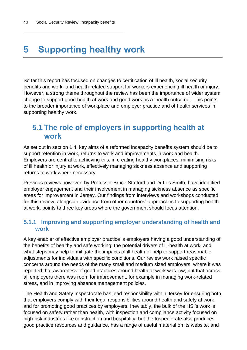# <span id="page-43-0"></span>**5 Supporting healthy work**

So far this report has focused on changes to certification of ill health, social security benefits and work- and health-related support for workers experiencing ill health or injury. However, a strong theme throughout the review has been the importance of wider system change to support good health at work and good work as a 'health outcome'. This points to the broader importance of workplace and employer practice and of health services in supporting healthy work.

### <span id="page-43-1"></span>**5.1 The role of employers in supporting health at work**

As set out in section 1.4, key aims of a reformed incapacity benefits system should be to support retention in work, returns to work and improvements in work and health. Employers are central to achieving this, in creating healthy workplaces, minimising risks of ill health or injury at work, effectively managing sickness absence and supporting returns to work where necessary.

Previous reviews however, by Professor Bruce Stafford and Dr Les Smith, have identified employer engagement and their involvement in managing sickness absence as specific areas for improvement in Jersey. Our findings from interviews and workshops conducted for this review, alongside evidence from other countries' approaches to supporting health at work, points to three key areas where the government should focus attention.

#### <span id="page-43-2"></span>**5.1.1 Improving and supporting employer understanding of health and work**

A key enabler of effective employer practice is employers having a good understanding of the benefits of healthy and safe working; the potential drivers of ill-health at work; and what steps may help to mitigate the impacts of ill health or help to support reasonable adjustments for individuals with specific conditions. Our review work raised specific concerns around the needs of the many small and medium sized employers, where it was reported that awareness of good practices around health at work was low; but that across all employers there was room for improvement, for example in managing work-related stress, and in improving absence management policies.

The Health and Safety Inspectorate has lead responsibility within Jersey for ensuring both that employers comply with their legal responsibilities around health and safety at work, and for promoting good practices by employers. Inevitably, the bulk of the HSI's work is focused on safety rather than health, with inspection and compliance activity focused on high-risk industries like construction and hospitality; but the Inspectorate also produces good practice resources and guidance, has a range of useful material on its website, and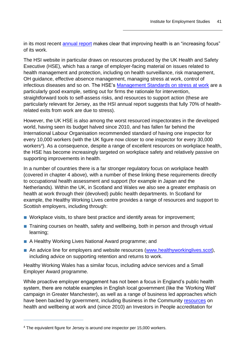in its most recent [annual report](https://www.gov.je/Government/Pages/StatesReports.aspx?ReportID=5268) makes clear that improving health is an "increasing focus" of its work.

The HSI website in particular draws on resources produced by the UK Health and Safety Executive (HSE), which has a range of employer-facing material on issues related to health management and protection, including on health surveillance, risk management, OH guidance, effective absence management, managing stress at work, control of infectious diseases and so on. The HSE's [Management Standards on stress at work](https://www.hse.gov.uk/stress/standards/downloads.htm) are a particularly good example, setting out for firms the rationale for intervention, straightforward tools to self-assess risks, and resources to support action (these are particularly relevant for Jersey, as the HSI annual report suggests that fully 70% of healthrelated exits from work are due to stress).

However, the UK HSE is also among the worst resourced inspectorates in the developed world, having seen its budget halved since 2010, and has fallen far behind the International Labour Organisation recommended standard of having one inspector for every 10,000 workers (with the UK figure now closer to one inspector for every 30,000 workers<sup>4</sup>). As a consequence, despite a range of excellent resources on workplace health, the HSE has become increasingly targeted on workplace safety and relatively passive on supporting improvements in health.

In a number of countries there is a far stronger regulatory focus on workplace health (covered in chapter 4 above), with a number of these linking these requirements directly to occupational health assessment and support (for example in Japan and the Netherlands). Within the UK, in Scotland and Wales we also see a greater emphasis on health at work through their (devolved) public health departments. In Scotland for example, the Healthy Working Lives centre provides a range of resources and support to Scottish employers, including through:

- Workplace visits, to share best practice and identify areas for improvement;
- Training courses on health, safety and wellbeing, both in person and through virtual learning;
- A Healthy Working Lives National Award programme; and
- An advice line for employers and website resources [\(www.healthyworkinglives.scot\)](http://www.healthyworkinglives.scot/), including advice on supporting retention and returns to work.

Healthy Working Wales has a similar focus, including advice services and a Small Employer Award programme.

While proactive employer engagement has not been a focus in England's public health system, there are notable examples in English local government (like the 'Working Well' campaign in Greater Manchester), as well as a range of business led approaches which have been backed by government, including Business in the Community [resources](https://www.bitc.org.uk/wellbeing/) on health and wellbeing at work and (since 2010) an Investors in People accreditation for

<sup>&</sup>lt;sup>4</sup> The equivalent figure for Jersey is around one inspector per 15,000 workers.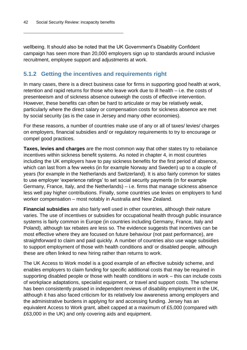wellbeing. It should also be noted that the UK Government's Disability Confident campaign has seen more than 20,000 employers sign up to standards around inclusive recruitment, employee support and adjustments at work.

### <span id="page-45-0"></span>**5.1.2 Getting the incentives and requirements right**

In many cases, there is a direct business case for firms in supporting good health at work, retention and rapid returns for those who leave work due to ill health – i.e. the costs of presenteeism and of sickness absence outweigh the costs of effective intervention. However, these benefits can often be hard to articulate or may be relatively weak, particularly where the direct salary or compensation costs for sickness absence are met by social security (as is the case in Jersey and many other economies).

For these reasons, a number of countries make use of any or all of taxes/ levies/ charges on employers, financial subsidies and/ or regulatory requirements to try to encourage or compel good practices.

**Taxes, levies and charges** are the most common way that other states try to rebalance incentives within sickness benefit systems. As noted in chapter 4, in most countries including the UK employers have to pay sickness benefits for the first period of absence, which can last from a few weeks (in for example Norway and Sweden) up to a couple of years (for example in the Netherlands and Switzerland). It is also fairly common for states to use employer 'experience ratings' to set social security payments (in for example Germany, France, Italy, and the Netherlands) – i.e. firms that manage sickness absence less well pay higher contributions. Finally, some countries use levies on employers to fund worker compensation – most notably in Australia and New Zealand.

**Financial subsidies** are also fairly well used in other countries, although their nature varies. The use of incentives or subsidies for occupational health through public insurance systems is fairly common in Europe (in countries including Germany, France, Italy and Poland), although tax rebates are less so. The evidence suggests that incentives can be most effective where they are focused on future behaviour (not past performance), are straightforward to claim and paid quickly. A number of countries also use wage subsidies to support employment of those with health conditions and/ or disabled people, although these are often linked to new hiring rather than returns to work.

The UK Access to Work model is a good example of an effective subsidy scheme, and enables employers to claim funding for specific additional costs that may be required in supporting disabled people or those with health conditions in work – this can include costs of workplace adaptations, specialist equipment, or travel and support costs. The scheme has been consistently praised in independent reviews of disability employment in the UK, although it has also faced criticism for its relatively low awareness among employers and the administrative burdens in applying for and accessing funding. Jersey has an equivalent Access to Work grant, albeit capped at a maximum of £5,000 (compared with £63,000 in the UK) and only covering aids and equipment.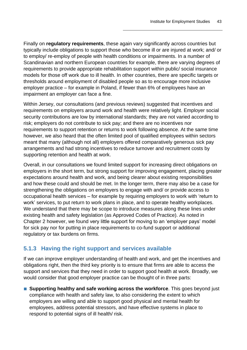Finally on **regulatory requirements**, these again vary significantly across countries but typically include obligations to support those who become ill or are injured at work; and/ or to employ/ re-employ of people with health conditions or impairments. In a number of Scandinavian and northern European countries for example, there are varying degrees of requirements to provide appropriate rehabilitation support within public/ social insurance models for those off work due to ill health. In other countries, there are specific targets or thresholds around employment of disabled people so as to encourage more inclusive employer practice – for example in Poland, if fewer than 6% of employees have an impairment an employer can face a fine.

Within Jersey, our consultations (and previous reviews) suggested that incentives and requirements on employers around work and health were relatively light. Employer social security contributions are low by international standards; they are not varied according to risk; employers do not contribute to sick pay; and there are no incentives nor requirements to support retention or returns to work following absence. At the same time however, we also heard that the often limited pool of qualified employees within sectors meant that many (although not all) employers offered comparatively generous sick pay arrangements and had strong incentives to reduce turnover and recruitment costs by supporting retention and health at work.

Overall, in our consultations we found limited support for increasing direct obligations on employers in the short term, but strong support for improving engagement, placing greater expectations around health and work, and being clearer about existing responsibilities and how these could and should be met. In the longer term, there may also be a case for strengthening the obligations on employers to engage with and/ or provide access to occupational health services – for example by requiring employers to work with 'return to work' services, to put return to work plans in place, and to operate healthy workplaces. We understand that there may be scope to introduce measures along these lines under existing health and safety legislation (as Approved Codes of Practice). As noted in Chapter 2 however, we found very little support for moving to an 'employer pays' model for sick pay nor for putting in place requirements to co-fund support or additional regulatory or tax burdens on firms.

### <span id="page-46-0"></span>**5.1.3 Having the right support and services available**

If we can improve employer understanding of health and work, and get the incentives and obligations right, then the third key priority is to ensure that firms are able to access the support and services that they need in order to support good health at work. Broadly, we would consider that good employer practice can be thought of in three parts:

■ **Supporting healthy and safe working across the workforce**. This goes beyond just compliance with health and safety law, to also considering the extent to which employers are willing and able to support good physical and mental health for employees, address potential stressors, and have effective systems in place to respond to potential signs of ill health/ risk.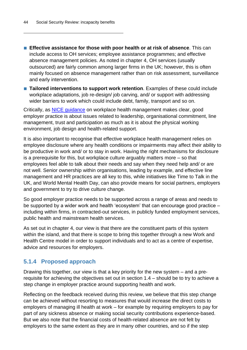■ **Effective assistance for those with poor health or at risk of absence**. This can include access to OH services; employee assistance programmes; and effective absence management policies. As noted in chapter 4, OH services (usually outsourced) are fairly common among larger firms in the UK; however, this is often mainly focused on absence management rather than on risk assessment, surveillance and early intervention.

■ **Tailored interventions to support work retention**. Examples of these could include workplace adaptations, job re-design/ job carving, and/ or support with addressing wider barriers to work which could include debt, family, transport and so on.

Critically, as [NICE guidance](https://www.nice.org.uk/guidance/ng13) on workplace health management makes clear, good employer practice is about issues related to leadership, organisational commitment, line management, trust and participation as much as it is about the physical working environment, job design and health-related support.

It is also important to recognise that effective workplace health management relies on employee disclosure where any health conditions or impairments may affect their ability to be productive in work and/ or to stay in work. Having the right mechanisms for disclosure is a prerequisite for this, but workplace culture arguably matters more – so that employees feel able to talk about their needs and say when they need help and/ or are not well. Senior ownership within organisations, leading by example, and effective line management and HR practices are all key to this, while initiatives like Time to Talk in the UK, and World Mental Health Day, can also provide means for social partners, employers and government to try to drive culture change.

So good employer practice needs to be supported across a range of areas and needs to be supported by a wider work and health 'ecosystem' that can encourage good practice – including within firms, in contracted-out services, in publicly funded employment services, public health and mainstream health services.

As set out in chapter 4, our view is that there are the constituent parts of this system within the island, and that there is scope to bring this together through a new Work and Health Centre model in order to support individuals and to act as a centre of expertise, advice and resources for employers.

#### <span id="page-47-0"></span>**5.1.4 Proposed approach**

Drawing this together, our view is that a key priority for the new system – and a prerequisite for achieving the objectives set out in section 1.4 – should be to try to achieve a step change in employer practice around supporting health and work.

Reflecting on the feedback received during this review, we believe that this step change can be achieved without resorting to measures that would increase the direct costs to employers of managing ill health at work – for example by requiring employers to pay for part of any sickness absence or making social security contributions experience-based. But we also note that the financial costs of health-related absence are not felt by employers to the same extent as they are in many other countries, and so if the step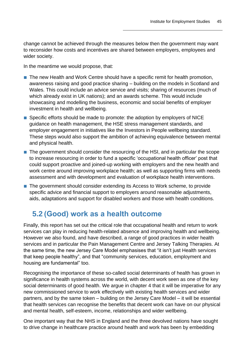change cannot be achieved through the measures below then the government may want to reconsider how costs and incentives are shared between employers, employees and wider society.

In the meantime we would propose, that:

- The new Health and Work Centre should have a specific remit for health promotion, awareness raising and good practice sharing – building on the models in Scotland and Wales. This could include an advice service and visits; sharing of resources (much of which already exist in UK nations); and an awards scheme. This would include showcasing and modelling the business, economic and social benefits of employer investment in health and wellbeing.
- Specific efforts should be made to promote: the adoption by employers of NICE guidance on health management, the HSE stress management standards, and employer engagement in initiatives like the Investors in People wellbeing standard. These steps would also support the ambition of achieving equivalence between mental and physical health.
- The government should consider the resourcing of the HSI, and in particular the scope to increase resourcing in order to fund a specific 'occupational health officer' post that could support proactive and joined-up working with employers and the new health and work centre around improving workplace health; as well as supporting firms with needs assessment and with development and evaluation of workplace health interventions.
- The government should consider extending its Access to Work scheme, to provide specific advice and financial support to employers around reasonable adjustments, aids, adaptations and support for disabled workers and those with health conditions.

### <span id="page-48-0"></span>**5.2 (Good) work as a health outcome**

Finally, this report has set out the critical role that occupational health and return to work services can play in reducing health-related absence and improving health and wellbeing. However we also found, and have described, a range of good practices in wider health services and in particular the Pain Management Centre and Jersey Talking Therapies. At the same time, the new Jersey Care Model emphasises that "it isn't just Health services that keep people healthy", and that "community services, education, employment and housing are fundamental" too.

Recognising the importance of these so-called social determinants of health has grown in significance in health systems across the world, with decent work seen as one of the key social determinants of good health. We argue in chapter 4 that it will be imperative for any new commissioned service to work effectively with existing health services and wider partners, and by the same token – building on the Jersey Care Model – it will be essential that health services can recognise the benefits that decent work can have on our physical and mental health, self-esteem, income, relationships and wider wellbeing.

One important way that the NHS in England and the three devolved nations have sought to drive change in healthcare practice around health and work has been by embedding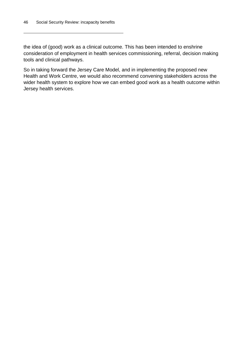the idea of (good) work as a clinical outcome. This has been intended to enshrine consideration of employment in health services commissioning, referral, decision making tools and clinical pathways.

So in taking forward the Jersey Care Model, and in implementing the proposed new Health and Work Centre, we would also recommend convening stakeholders across the wider health system to explore how we can embed good work as a health outcome within Jersey health services.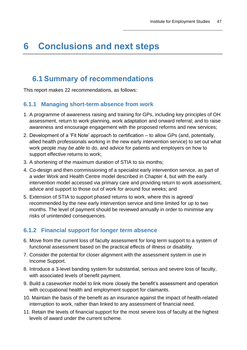# <span id="page-50-0"></span>**6 Conclusions and next steps**

### <span id="page-50-1"></span>**6.1 Summary of recommendations**

This report makes 22 recommendations, as follows:

#### <span id="page-50-2"></span>**6.1.1 Managing short-term absence from work**

- 1. A programme of awareness raising and training for GPs, including key principles of OH assessment, return to work planning, work adaptation and onward referral; and to raise awareness and encourage engagement with the proposed reforms and new services;
- 2. Development of a 'Fit Note' approach to certification to allow GPs (and, potentially, allied health professionals working in the new early intervention service) to set out what work people *may be able* to do, and advice for patients and employers on how to support effective returns to work;
- 3. A shortening of the maximum duration of STIA to six months;
- 4. Co-design and then commissioning of a specialist early intervention service, as part of a wider Work and Health Centre model described in Chapter 4, but with the early intervention model accessed via primary care and providing return to work assessment, advice and support to those out of work for around four weeks; and
- 5. Extension of STIA to support phased returns to work, where this is agreed/ recommended by the new early intervention service and time limited for up to two months. The level of payment should be reviewed annually in order to minimise any risks of unintended consequences.

### <span id="page-50-3"></span>**6.1.2 Financial support for longer term absence**

- 6. Move from the current loss of faculty assessment for long term support to a system of functional assessment based on the practical effects of illness or disability.
- 7. Consider the potential for closer alignment with the assessment system in use in Income Support.
- 8. Introduce a 3-level banding system for substantial, serious and severe loss of faculty, with associated levels of benefit payment.
- 9. Build a caseworker model to link more closely the benefit's assessment and operation with occupational health and employment support for claimants.
- 10. Maintain the basis of the benefit as an insurance against the impact of health-related interruption to work, rather than linked to any assessment of financial need.
- 11. Retain the levels of financial support for the most severe loss of faculty at the highest levels of award under the current scheme.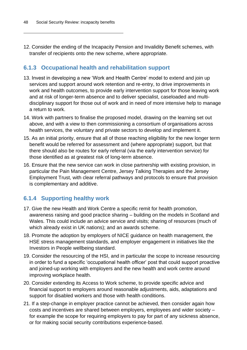12. Consider the ending of the Incapacity Pension and Invalidity Benefit schemes, with transfer of recipients onto the new scheme, where appropriate.

#### <span id="page-51-0"></span>**6.1.3 Occupational health and rehabilitation support**

- 13. Invest in developing a new 'Work and Health Centre' model to extend and join up services and support around work retention and re-entry, to drive improvements in work and health outcomes, to provide early intervention support for those leaving work and at risk of longer-term absence and to deliver specialist, caseloaded and multidisciplinary support for those out of work and in need of more intensive help to manage a return to work.
- 14. Work with partners to finalise the proposed model, drawing on the learning set out above, and with a view to then commissioning a consortium of organisations across health services, the voluntary and private sectors to develop and implement it.
- 15. As an initial priority, ensure that all of those reaching eligibility for the new longer term benefit would be referred for assessment and (where appropriate) support, but that there should also be routes for early referral (via the early intervention service) for those identified as at greatest risk of long-term absence.
- 16. Ensure that the new service can work in close partnership with existing provision, in particular the Pain Management Centre, Jersey Talking Therapies and the Jersey Employment Trust, with clear referral pathways and protocols to ensure that provision is complementary and additive.

### <span id="page-51-1"></span>**6.1.4 Supporting healthy work**

- 17. Give the new Health and Work Centre a specific remit for health promotion, awareness raising and good practice sharing – building on the models in Scotland and Wales. This could include an advice service and visits; sharing of resources (much of which already exist in UK nations); and an awards scheme.
- 18. Promote the adoption by employers of NICE guidance on health management, the HSE stress management standards, and employer engagement in initiatives like the Investors in People wellbeing standard.
- 19. Consider the resourcing of the HSI, and in particular the scope to increase resourcing in order to fund a specific 'occupational health officer' post that could support proactive and joined-up working with employers and the new health and work centre around improving workplace health.
- 20. Consider extending its Access to Work scheme, to provide specific advice and financial support to employers around reasonable adjustments, aids, adaptations and support for disabled workers and those with health conditions.
- 21. If a step-change in employer practice cannot be achieved, then consider again how costs and incentives are shared between employers, employees and wider society – for example the scope for requiring employers to pay for part of any sickness absence, or for making social security contributions experience-based.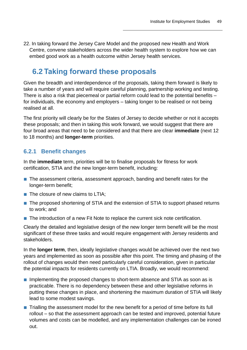22. In taking forward the Jersey Care Model and the proposed new Health and Work Centre, convene stakeholders across the wider health system to explore how we can embed good work as a health outcome within Jersey health services.

## <span id="page-52-0"></span>**6.2 Taking forward these proposals**

Given the breadth and interdependence of the proposals, taking them forward is likely to take a number of years and will require careful planning, partnership working and testing. There is also a risk that piecemeal or partial reform could lead to the potential benefits – for individuals, the economy and employers – taking longer to be realised or not being realised at all.

The first priority will clearly be for the States of Jersey to decide whether or not it accepts these proposals; and then in taking this work forward, we would suggest that there are four broad areas that need to be considered and that there are clear **immediate** (next 12 to 18 months) and **longer-term** priorities.

### <span id="page-52-1"></span>**6.2.1 Benefit changes**

In the **immediate** term, priorities will be to finalise proposals for fitness for work certification, STIA and the new longer-term benefit, including:

- The assessment criteria, assessment approach, banding and benefit rates for the longer-term benefit;
- The closure of new claims to LTIA:
- The proposed shortening of STIA and the extension of STIA to support phased returns to work; and
- The introduction of a new Fit Note to replace the current sick note certification.

Clearly the detailed and legislative design of the new longer term benefit will be the most significant of these three tasks and would require engagement with Jersey residents and stakeholders.

In the **longer term**, then, ideally legislative changes would be achieved over the next two years and implemented as soon as possible after this point. The timing and phasing of the rollout of changes would then need particularly careful consideration, given in particular the potential impacts for residents currently on LTIA. Broadly, we would recommend:

- Implementing the proposed changes to short-term absence and STIA as soon as is practicable. There is no dependency between these and other legislative reforms in putting these changes in place, and shortening the maximum duration of STIA will likely lead to some modest savings.
- Trialling the assessment model for the new benefit for a period of time before its full rollout – so that the assessment approach can be tested and improved, potential future volumes and costs can be modelled, and any implementation challenges can be ironed out.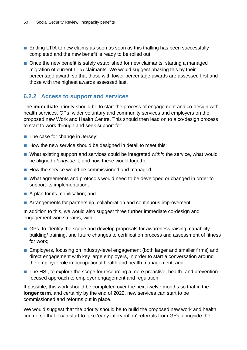- Ending LTIA to new claims as soon as soon as this trialling has been successfully completed and the new benefit is ready to be rolled out.
- Once the new benefit is safely established for new claimants, starting a managed migration of current LTIA claimants. We would suggest phasing this by their percentage award, so that those with lower percentage awards are assessed first and those with the highest awards assessed last.

#### <span id="page-53-0"></span>**6.2.2 Access to support and services**

The **immediate** priority should be to start the process of engagement and co-design with health services, GPs, wider voluntary and community services and employers on the proposed new Work and Health Centre. This should then lead on to a co-design process to start to work through and seek support for:

- The case for change in Jersey;
- How the new service should be designed in detail to meet this;
- What existing support and services could be integrated *within* the service, what would be aligned *alongside* it, and how these would together;
- How the service would be commissioned and managed;
- What agreements and protocols would need to be developed or changed in order to support its implementation;
- A plan for its mobilisation; and
- Arrangements for partnership, collaboration and continuous improvement.

In addition to this, we would also suggest three further immediate co-design and engagement workstreams, with:

- GPs, to identify the scope and develop proposals for awareness raising, capability building/ training, and future changes to certification process and assessment of fitness for work;
- Employers, focusing on industry-level engagement (both larger and smaller firms) and direct engagement with key large employers, in order to start a conversation around the employer role in occupational health and health management; and
- The HSI, to explore the scope for resourcing a more proactive, health- and preventionfocused approach to employer engagement and regulation.

If possible, this work should be completed over the next twelve months so that in the **longer term**, and certainly by the end of 2022, new services can start to be commissioned and reforms put in place.

We would suggest that the priority should be to build the proposed new work and health centre, so that it can start to take 'early intervention' referrals from GPs alongside the